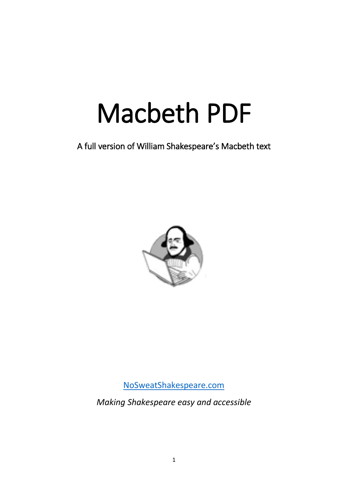# Macbeth PDF

A full version of William Shakespeare's Macbeth text



[NoSweatShakespeare.com](https://www.nosweatshakespeare.com/)

*Making Shakespeare easy and accessible*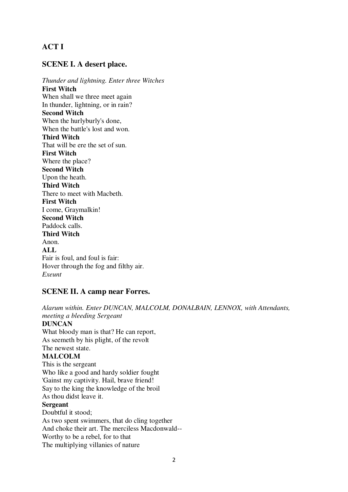# **ACT I**

# **SCENE I. A desert place.**

*Thunder and lightning. Enter three Witches* **First Witch** When shall we three meet again In thunder, lightning, or in rain? **Second Witch** When the hurlyburly's done, When the battle's lost and won. **Third Witch** That will be ere the set of sun. **First Witch** Where the place? **Second Witch** Upon the heath. **Third Witch** There to meet with Macbeth. **First Witch** I come, Graymalkin! **Second Witch** Paddock calls. **Third Witch** Anon. **ALL** Fair is foul, and foul is fair: Hover through the fog and filthy air. *Exeunt*

# **SCENE II. A camp near Forres.**

*Alarum within. Enter DUNCAN, MALCOLM, DONALBAIN, LENNOX, with Attendants, meeting a bleeding Sergeant* **DUNCAN** What bloody man is that? He can report, As seemeth by his plight, of the revolt The newest state. **MALCOLM** This is the sergeant Who like a good and hardy soldier fought 'Gainst my captivity. Hail, brave friend! Say to the king the knowledge of the broil As thou didst leave it. **Sergeant** Doubtful it stood; As two spent swimmers, that do cling together And choke their art. The merciless Macdonwald-- Worthy to be a rebel, for to that The multiplying villanies of nature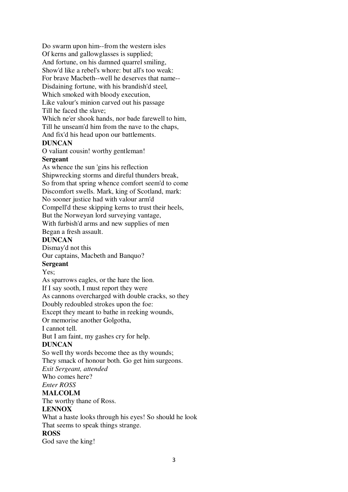Do swarm upon him--from the western isles Of kerns and gallowglasses is supplied; And fortune, on his damned quarrel smiling, Show'd like a rebel's whore: but all's too weak: For brave Macbeth--well he deserves that name-- Disdaining fortune, with his brandish'd steel, Which smoked with bloody execution, Like valour's minion carved out his passage Till he faced the slave; Which ne'er shook hands, nor bade farewell to him, Till he unseam'd him from the nave to the chaps, And fix'd his head upon our battlements. **DUNCAN** O valiant cousin! worthy gentleman! **Sergeant**

As whence the sun 'gins his reflection Shipwrecking storms and direful thunders break, So from that spring whence comfort seem'd to come Discomfort swells. Mark, king of Scotland, mark: No sooner justice had with valour arm'd Compell'd these skipping kerns to trust their heels, But the Norweyan lord surveying vantage, With furbish'd arms and new supplies of men Began a fresh assault.

#### **DUNCAN**

Dismay'd not this

Our captains, Macbeth and Banquo?

# **Sergeant**

Yes:

As sparrows eagles, or the hare the lion.

If I say sooth, I must report they were

As cannons overcharged with double cracks, so they

Doubly redoubled strokes upon the foe:

Except they meant to bathe in reeking wounds,

Or memorise another Golgotha,

I cannot tell.

But I am faint, my gashes cry for help.

# **DUNCAN**

So well thy words become thee as thy wounds; They smack of honour both. Go get him surgeons.

*Exit Sergeant, attended*

Who comes here?

*Enter ROSS*

# **MALCOLM**

The worthy thane of Ross.

# **LENNOX**

What a haste looks through his eyes! So should he look That seems to speak things strange.

# **ROSS**

God save the king!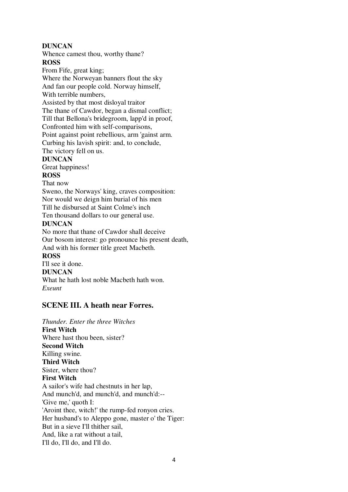# **DUNCAN**

Whence camest thou, worthy thane?

**ROSS**

From Fife, great king; Where the Norweyan banners flout the sky And fan our people cold. Norway himself, With terrible numbers, Assisted by that most disloyal traitor The thane of Cawdor, began a dismal conflict;

Till that Bellona's bridegroom, lapp'd in proof, Confronted him with self-comparisons, Point against point rebellious, arm 'gainst arm. Curbing his lavish spirit: and, to conclude,

The victory fell on us.

# **DUNCAN**

Great happiness!

# **ROSS**

That now

Sweno, the Norways' king, craves composition: Nor would we deign him burial of his men Till he disbursed at Saint Colme's inch Ten thousand dollars to our general use.

**DUNCAN**

No more that thane of Cawdor shall deceive Our bosom interest: go pronounce his present death, And with his former title greet Macbeth. **ROSS** I'll see it done. **DUNCAN** What he hath lost noble Macbeth hath won.

*Exeunt*

# **SCENE III. A heath near Forres.**

*Thunder. Enter the three Witches* **First Witch** Where hast thou been, sister? **Second Witch** Killing swine. **Third Witch** Sister, where thou? **First Witch** A sailor's wife had chestnuts in her lap, And munch'd, and munch'd, and munch'd:-- 'Give me,' quoth I: 'Aroint thee, witch!' the rump-fed ronyon cries. Her husband's to Aleppo gone, master o' the Tiger: But in a sieve I'll thither sail, And, like a rat without a tail, I'll do, I'll do, and I'll do.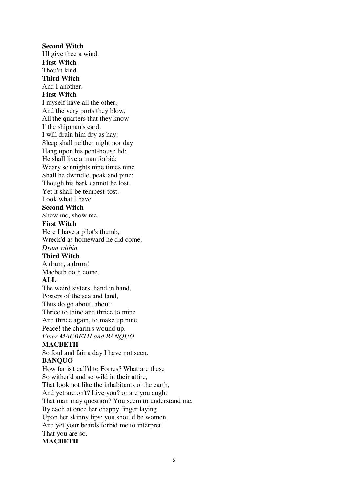**Second Witch** I'll give thee a wind. **First Witch** Thou'rt kind. **Third Witch** And I another. **First Witch** I myself have all the other, And the very ports they blow, All the quarters that they know I' the shipman's card. I will drain him dry as hay: Sleep shall neither night nor day Hang upon his pent-house lid; He shall live a man forbid: Weary se'nnights nine times nine Shall he dwindle, peak and pine: Though his bark cannot be lost, Yet it shall be tempest-tost. Look what I have. **Second Witch** Show me, show me. **First Witch** Here I have a pilot's thumb, Wreck'd as homeward he did come. *Drum within* **Third Witch** A drum, a drum! Macbeth doth come. **ALL** The weird sisters, hand in hand, Posters of the sea and land, Thus do go about, about: Thrice to thine and thrice to mine And thrice again, to make up nine. Peace! the charm's wound up. *Enter MACBETH and BANQUO* **MACBETH** So foul and fair a day I have not seen. **BANQUO** How far is't call'd to Forres? What are these So wither'd and so wild in their attire, That look not like the inhabitants o' the earth, And yet are on't? Live you? or are you aught That man may question? You seem to understand me, By each at once her chappy finger laying Upon her skinny lips: you should be women, And yet your beards forbid me to interpret That you are so. **MACBETH**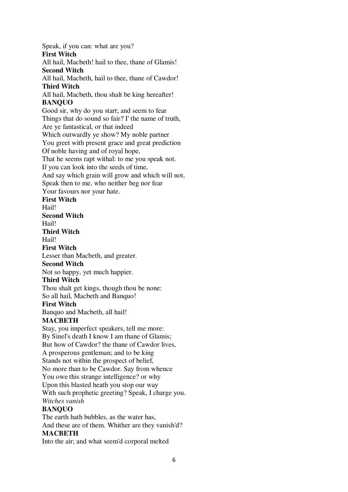Speak, if you can: what are you? **First Witch** All hail, Macbeth! hail to thee, thane of Glamis! **Second Witch** All hail, Macbeth, hail to thee, thane of Cawdor! **Third Witch** All hail, Macbeth, thou shalt be king hereafter! **BANQUO** Good sir, why do you start; and seem to fear Things that do sound so fair? I' the name of truth, Are ye fantastical, or that indeed Which outwardly ye show? My noble partner You greet with present grace and great prediction Of noble having and of royal hope, That he seems rapt withal: to me you speak not. If you can look into the seeds of time, And say which grain will grow and which will not, Speak then to me, who neither beg nor fear Your favours nor your hate. **First Witch** Hail! **Second Witch** Hail! **Third Witch** Hail! **First Witch** Lesser than Macbeth, and greater. **Second Witch** Not so happy, yet much happier. **Third Witch** Thou shalt get kings, though thou be none: So all hail, Macbeth and Banquo! **First Witch** Banquo and Macbeth, all hail! **MACBETH** Stay, you imperfect speakers, tell me more: By Sinel's death I know I am thane of Glamis; But how of Cawdor? the thane of Cawdor lives, A prosperous gentleman; and to be king Stands not within the prospect of belief, No more than to be Cawdor. Say from whence You owe this strange intelligence? or why Upon this blasted heath you stop our way With such prophetic greeting? Speak, I charge you. *Witches vanish* **BANQUO** The earth hath bubbles, as the water has, And these are of them. Whither are they vanish'd? **MACBETH** Into the air; and what seem'd corporal melted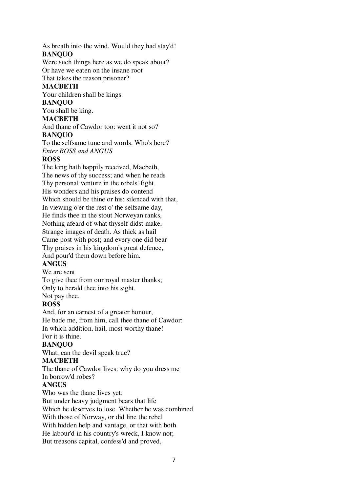As breath into the wind. Would they had stay'd! **BANQUO**

Were such things here as we do speak about? Or have we eaten on the insane root

That takes the reason prisoner?

# **MACBETH**

Your children shall be kings.

# **BANQUO**

You shall be king.

# **MACBETH**

And thane of Cawdor too: went it not so? **BANQUO**

To the selfsame tune and words. Who's here? *Enter ROSS and ANGUS*

# **ROSS**

The king hath happily received, Macbeth, The news of thy success; and when he reads Thy personal venture in the rebels' fight, His wonders and his praises do contend Which should be thine or his: silenced with that, In viewing o'er the rest o' the selfsame day, He finds thee in the stout Norweyan ranks, Nothing afeard of what thyself didst make, Strange images of death. As thick as hail Came post with post; and every one did bear Thy praises in his kingdom's great defence, And pour'd them down before him.

# **ANGUS**

We are sent

To give thee from our royal master thanks;

Only to herald thee into his sight,

Not pay thee.

# **ROSS**

And, for an earnest of a greater honour, He bade me, from him, call thee thane of Cawdor: In which addition, hail, most worthy thane! For it is thine.

# **BANQUO**

What, can the devil speak true?

# **MACBETH**

The thane of Cawdor lives: why do you dress me In borrow'd robes?

# **ANGUS**

Who was the thane lives yet;

But under heavy judgment bears that life Which he deserves to lose. Whether he was combined With those of Norway, or did line the rebel With hidden help and vantage, or that with both He labour'd in his country's wreck, I know not; But treasons capital, confess'd and proved,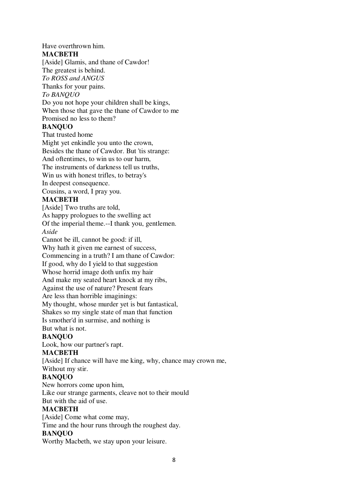# Have overthrown him. **MACBETH**

[Aside] Glamis, and thane of Cawdor! The greatest is behind. *To ROSS and ANGUS* Thanks for your pains. *To BANQUO* Do you not hope your children shall be kings, When those that gave the thane of Cawdor to me Promised no less to them?

# **BANQUO**

That trusted home Might yet enkindle you unto the crown, Besides the thane of Cawdor. But 'tis strange: And oftentimes, to win us to our harm, The instruments of darkness tell us truths, Win us with honest trifles, to betray's In deepest consequence. Cousins, a word, I pray you.

# **MACBETH**

[Aside] Two truths are told,

As happy prologues to the swelling act

Of the imperial theme.--I thank you, gentlemen. *Aside*

Cannot be ill, cannot be good: if ill,

Why hath it given me earnest of success,

Commencing in a truth? I am thane of Cawdor:

If good, why do I yield to that suggestion

Whose horrid image doth unfix my hair

And make my seated heart knock at my ribs,

Against the use of nature? Present fears

Are less than horrible imaginings:

My thought, whose murder yet is but fantastical,

Shakes so my single state of man that function

Is smother'd in surmise, and nothing is But what is not.

# **BANQUO**

Look, how our partner's rapt.

# **MACBETH**

[Aside] If chance will have me king, why, chance may crown me,

Without my stir.

# **BANQUO**

New horrors come upon him, Like our strange garments, cleave not to their mould

But with the aid of use.

# **MACBETH**

[Aside] Come what come may,

Time and the hour runs through the roughest day.

# **BANQUO**

Worthy Macbeth, we stay upon your leisure.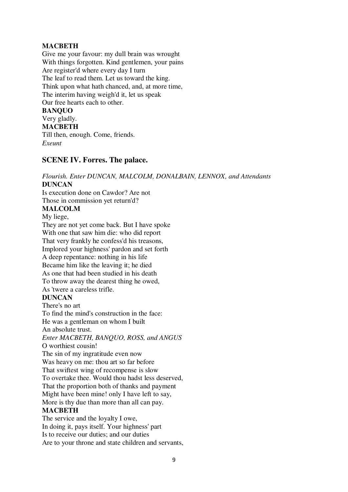# **MACBETH**

Give me your favour: my dull brain was wrought With things forgotten. Kind gentlemen, your pains Are register'd where every day I turn The leaf to read them. Let us toward the king. Think upon what hath chanced, and, at more time, The interim having weigh'd it, let us speak Our free hearts each to other. **BANQUO** Very gladly.

# **MACBETH**

Till then, enough. Come, friends. *Exeunt*

# **SCENE IV. Forres. The palace.**

# *Flourish. Enter DUNCAN, MALCOLM, DONALBAIN, LENNOX, and Attendants* **DUNCAN**

Is execution done on Cawdor? Are not Those in commission yet return'd?

# **MALCOLM**

My liege,

They are not yet come back. But I have spoke With one that saw him die: who did report That very frankly he confess'd his treasons, Implored your highness' pardon and set forth A deep repentance: nothing in his life Became him like the leaving it; he died As one that had been studied in his death To throw away the dearest thing he owed, As 'twere a careless trifle. **DUNCAN** There's no art To find the mind's construction in the face: He was a gentleman on whom I built An absolute trust. *Enter MACBETH, BANQUO, ROSS, and ANGUS* O worthiest cousin! The sin of my ingratitude even now Was heavy on me: thou art so far before That swiftest wing of recompense is slow

To overtake thee. Would thou hadst less deserved,

That the proportion both of thanks and payment

Might have been mine! only I have left to say,

# More is thy due than more than all can pay.

# **MACBETH**

The service and the loyalty I owe, In doing it, pays itself. Your highness' part Is to receive our duties; and our duties Are to your throne and state children and servants,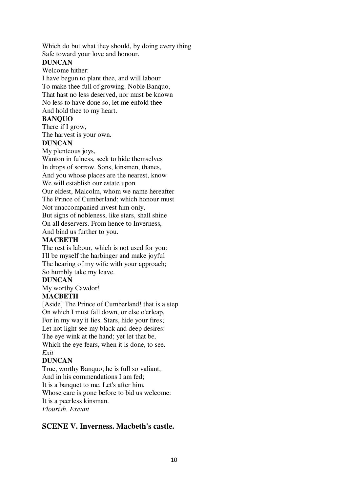Which do but what they should, by doing every thing Safe toward your love and honour.

# **DUNCAN**

Welcome hither: I have begun to plant thee, and will labour To make thee full of growing. Noble Banquo, That hast no less deserved, nor must be known No less to have done so, let me enfold thee And hold thee to my heart.

# **BANQUO**

There if I grow,

The harvest is your own.

# **DUNCAN**

My plenteous joys,

Wanton in fulness, seek to hide themselves

In drops of sorrow. Sons, kinsmen, thanes,

And you whose places are the nearest, know We will establish our estate upon

Our eldest, Malcolm, whom we name hereafter The Prince of Cumberland; which honour must Not unaccompanied invest him only,

But signs of nobleness, like stars, shall shine On all deservers. From hence to Inverness,

And bind us further to you.

# **MACBETH**

The rest is labour, which is not used for you: I'll be myself the harbinger and make joyful The hearing of my wife with your approach; So humbly take my leave.

# **DUNCAN**

My worthy Cawdor!

# **MACBETH**

[Aside] The Prince of Cumberland! that is a step On which I must fall down, or else o'erleap, For in my way it lies. Stars, hide your fires; Let not light see my black and deep desires: The eye wink at the hand; yet let that be, Which the eye fears, when it is done, to see. *Exit*

# **DUNCAN**

True, worthy Banquo; he is full so valiant, And in his commendations I am fed; It is a banquet to me. Let's after him, Whose care is gone before to bid us welcome: It is a peerless kinsman. *Flourish. Exeunt*

# **SCENE V. Inverness. Macbeth's castle.**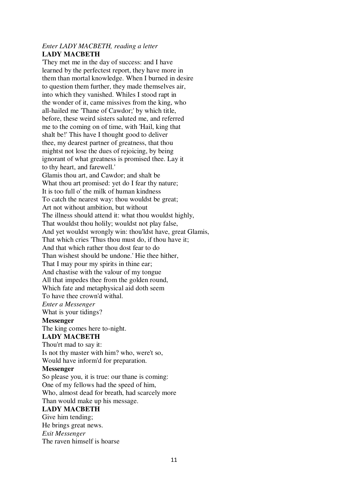# *Enter LADY MACBETH, reading a letter* **LADY MACBETH**

'They met me in the day of success: and I have learned by the perfectest report, they have more in them than mortal knowledge. When I burned in desire to question them further, they made themselves air, into which they vanished. Whiles I stood rapt in the wonder of it, came missives from the king, who all-hailed me 'Thane of Cawdor;' by which title, before, these weird sisters saluted me, and referred me to the coming on of time, with 'Hail, king that shalt be!' This have I thought good to deliver thee, my dearest partner of greatness, that thou mightst not lose the dues of rejoicing, by being ignorant of what greatness is promised thee. Lay it to thy heart, and farewell.'

Glamis thou art, and Cawdor; and shalt be What thou art promised: yet do I fear thy nature: It is too full o' the milk of human kindness To catch the nearest way: thou wouldst be great; Art not without ambition, but without The illness should attend it: what thou wouldst highly, That wouldst thou holily; wouldst not play false, And yet wouldst wrongly win: thou'ldst have, great Glamis, That which cries 'Thus thou must do, if thou have it; And that which rather thou dost fear to do Than wishest should be undone.' Hie thee hither, That I may pour my spirits in thine ear; And chastise with the valour of my tongue All that impedes thee from the golden round, Which fate and metaphysical aid doth seem To have thee crown'd withal.

*Enter a Messenger*

What is your tidings?

#### **Messenger**

The king comes here to-night.

# **LADY MACBETH**

Thou'rt mad to say it: Is not thy master with him? who, were't so, Would have inform'd for preparation.

#### **Messenger**

So please you, it is true: our thane is coming: One of my fellows had the speed of him, Who, almost dead for breath, had scarcely more Than would make up his message.

# **LADY MACBETH**

Give him tending;

He brings great news. *Exit Messenger* The raven himself is hoarse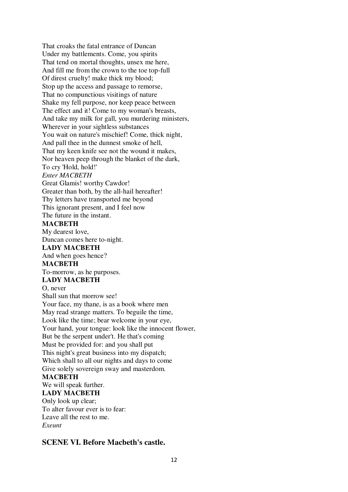That croaks the fatal entrance of Duncan Under my battlements. Come, you spirits That tend on mortal thoughts, unsex me here, And fill me from the crown to the toe top-full Of direst cruelty! make thick my blood; Stop up the access and passage to remorse, That no compunctious visitings of nature Shake my fell purpose, nor keep peace between The effect and it! Come to my woman's breasts, And take my milk for gall, you murdering ministers, Wherever in your sightless substances You wait on nature's mischief! Come, thick night, And pall thee in the dunnest smoke of hell, That my keen knife see not the wound it makes, Nor heaven peep through the blanket of the dark, To cry 'Hold, hold!' *Enter MACBETH* Great Glamis! worthy Cawdor! Greater than both, by the all-hail hereafter! Thy letters have transported me beyond This ignorant present, and I feel now The future in the instant. **MACBETH** My dearest love, Duncan comes here to-night. **LADY MACBETH** And when goes hence? **MACBETH** To-morrow, as he purposes. **LADY MACBETH** O, never Shall sun that morrow see! Your face, my thane, is as a book where men May read strange matters. To beguile the time, Look like the time; bear welcome in your eye, Your hand, your tongue: look like the innocent flower, But be the serpent under't. He that's coming Must be provided for: and you shall put This night's great business into my dispatch; Which shall to all our nights and days to come Give solely sovereign sway and masterdom. **MACBETH** We will speak further. **LADY MACBETH** Only look up clear;

# To alter favour ever is to fear: Leave all the rest to me. *Exeunt*

# **SCENE VI. Before Macbeth's castle.**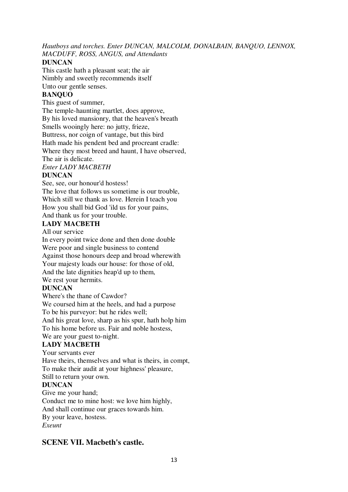*Hautboys and torches. Enter DUNCAN, MALCOLM, DONALBAIN, BANQUO, LENNOX, MACDUFF, ROSS, ANGUS, and Attendants*

# **DUNCAN**

This castle hath a pleasant seat; the air Nimbly and sweetly recommends itself Unto our gentle senses.

# **BANQUO**

This guest of summer,

The temple-haunting martlet, does approve,

By his loved mansionry, that the heaven's breath

Smells wooingly here: no jutty, frieze,

Buttress, nor coign of vantage, but this bird

Hath made his pendent bed and procreant cradle:

Where they most breed and haunt, I have observed,

The air is delicate.

# *Enter LADY MACBETH*

# **DUNCAN**

See, see, our honour'd hostess!

The love that follows us sometime is our trouble, Which still we thank as love. Herein I teach you How you shall bid God 'ild us for your pains, And thank us for your trouble.

# **LADY MACBETH**

All our service

In every point twice done and then done double Were poor and single business to contend Against those honours deep and broad wherewith Your majesty loads our house: for those of old, And the late dignities heap'd up to them, We rest your hermits.

# **DUNCAN**

Where's the thane of Cawdor? We coursed him at the heels, and had a purpose To be his purveyor: but he rides well; And his great love, sharp as his spur, hath holp him To his home before us. Fair and noble hostess, We are your guest to-night.

# **LADY MACBETH**

Your servants ever Have theirs, themselves and what is theirs, in compt, To make their audit at your highness' pleasure, Still to return your own. **DUNCAN**

Give me your hand; Conduct me to mine host: we love him highly, And shall continue our graces towards him. By your leave, hostess. *Exeunt*

# **SCENE VII. Macbeth's castle.**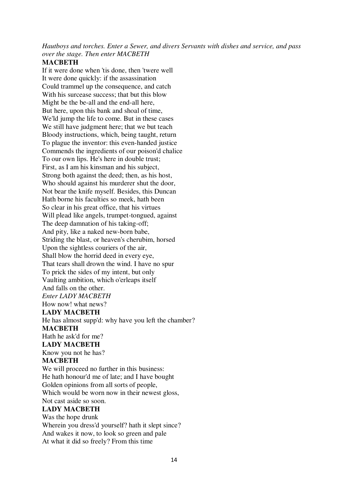*Hautboys and torches. Enter a Sewer, and divers Servants with dishes and service, and pass over the stage. Then enter MACBETH*

# **MACBETH**

If it were done when 'tis done, then 'twere well It were done quickly: if the assassination Could trammel up the consequence, and catch With his surcease success; that but this blow Might be the be-all and the end-all here, But here, upon this bank and shoal of time, We'ld jump the life to come. But in these cases We still have judgment here; that we but teach Bloody instructions, which, being taught, return To plague the inventor: this even-handed justice Commends the ingredients of our poison'd chalice To our own lips. He's here in double trust; First, as I am his kinsman and his subject, Strong both against the deed; then, as his host, Who should against his murderer shut the door, Not bear the knife myself. Besides, this Duncan Hath borne his faculties so meek, hath been So clear in his great office, that his virtues Will plead like angels, trumpet-tongued, against The deep damnation of his taking-off; And pity, like a naked new-born babe, Striding the blast, or heaven's cherubim, horsed Upon the sightless couriers of the air, Shall blow the horrid deed in every eye, That tears shall drown the wind. I have no spur To prick the sides of my intent, but only Vaulting ambition, which o'erleaps itself And falls on the other. *Enter LADY MACBETH* How now! what news? **LADY MACBETH** He has almost supp'd: why have you left the chamber? **MACBETH** Hath he ask'd for me? **LADY MACBETH** Know you not he has? **MACBETH** We will proceed no further in this business: He hath honour'd me of late; and I have bought Golden opinions from all sorts of people, Which would be worn now in their newest gloss, Not cast aside so soon. **LADY MACBETH** Was the hope drunk Wherein you dress'd yourself? hath it slept since? And wakes it now, to look so green and pale

At what it did so freely? From this time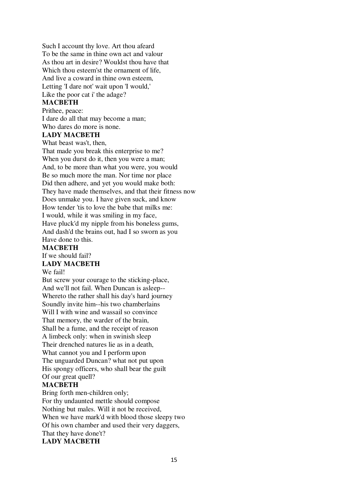Such I account thy love. Art thou afeard To be the same in thine own act and valour As thou art in desire? Wouldst thou have that Which thou esteem'st the ornament of life, And live a coward in thine own esteem, Letting 'I dare not' wait upon 'I would,' Like the poor cat i' the adage? **MACBETH**

Prithee, peace: I dare do all that may become a man; Who dares do more is none.

#### **LADY MACBETH**

What beast was't, then,

That made you break this enterprise to me? When you durst do it, then you were a man; And, to be more than what you were, you would Be so much more the man. Nor time nor place Did then adhere, and yet you would make both: They have made themselves, and that their fitness now Does unmake you. I have given suck, and know How tender 'tis to love the babe that milks me: I would, while it was smiling in my face, Have pluck'd my nipple from his boneless gums, And dash'd the brains out, had I so sworn as you Have done to this.

#### **MACBETH**

# If we should fail?

# **LADY MACBETH**

#### We fail!

But screw your courage to the sticking-place, And we'll not fail. When Duncan is asleep-- Whereto the rather shall his day's hard journey Soundly invite him--his two chamberlains Will I with wine and wassail so convince That memory, the warder of the brain, Shall be a fume, and the receipt of reason A limbeck only: when in swinish sleep Their drenched natures lie as in a death, What cannot you and I perform upon The unguarded Duncan? what not put upon His spongy officers, who shall bear the guilt Of our great quell?

#### **MACBETH**

Bring forth men-children only; For thy undaunted mettle should compose Nothing but males. Will it not be received, When we have mark'd with blood those sleepy two Of his own chamber and used their very daggers, That they have done't? **LADY MACBETH**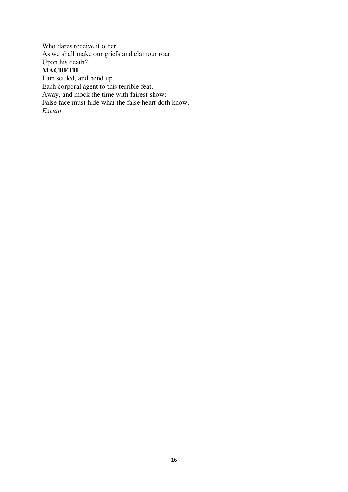Who dares receive it other, As we shall make our griefs and clamour roar Upon his death? **MACBETH**

I am settled, and bend up Each corporal agent to this terrible feat. Away, and mock the time with fairest show: False face must hide what the false heart doth know. *Exeunt*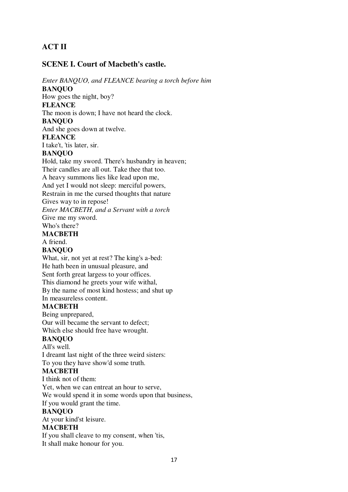# **ACT II**

# **SCENE I. Court of Macbeth's castle.**

*Enter BANQUO, and FLEANCE bearing a torch before him* **BANQUO** How goes the night, boy? **FLEANCE** The moon is down; I have not heard the clock. **BANQUO** And she goes down at twelve. **FLEANCE** I take't, 'tis later, sir. **BANQUO** Hold, take my sword. There's husbandry in heaven; Their candles are all out. Take thee that too. A heavy summons lies like lead upon me, And yet I would not sleep: merciful powers, Restrain in me the cursed thoughts that nature Gives way to in repose! *Enter MACBETH, and a Servant with a torch* Give me my sword. Who's there? **MACBETH** A friend. **BANQUO** What, sir, not yet at rest? The king's a-bed: He hath been in unusual pleasure, and Sent forth great largess to your offices. This diamond he greets your wife withal, By the name of most kind hostess; and shut up In measureless content. **MACBETH** Being unprepared, Our will became the servant to defect;

Which else should free have wrought.

# **BANQUO**

All's well.

I dreamt last night of the three weird sisters: To you they have show'd some truth.

# **MACBETH**

I think not of them: Yet, when we can entreat an hour to serve, We would spend it in some words upon that business, If you would grant the time.

#### **BANQUO**

At your kind'st leisure.

# **MACBETH**

If you shall cleave to my consent, when 'tis, It shall make honour for you.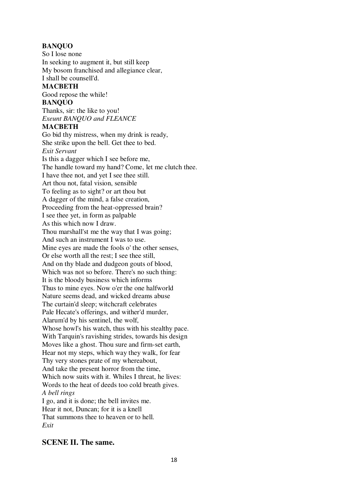# **BANQUO**

So I lose none In seeking to augment it, but still keep My bosom franchised and allegiance clear, I shall be counsell'd.

# **MACBETH**

Good repose the while!

# **BANQUO**

Thanks, sir: the like to you! *Exeunt BANQUO and FLEANCE*

# **MACBETH**

Go bid thy mistress, when my drink is ready, She strike upon the bell. Get thee to bed. *Exit Servant* Is this a dagger which I see before me, The handle toward my hand? Come, let me clutch thee. I have thee not, and yet I see thee still. Art thou not, fatal vision, sensible To feeling as to sight? or art thou but A dagger of the mind, a false creation, Proceeding from the heat-oppressed brain? I see thee yet, in form as palpable As this which now I draw. Thou marshall'st me the way that I was going; And such an instrument I was to use. Mine eyes are made the fools o' the other senses, Or else worth all the rest; I see thee still, And on thy blade and dudgeon gouts of blood, Which was not so before. There's no such thing: It is the bloody business which informs Thus to mine eyes. Now o'er the one halfworld Nature seems dead, and wicked dreams abuse The curtain'd sleep; witchcraft celebrates Pale Hecate's offerings, and wither'd murder, Alarum'd by his sentinel, the wolf, Whose howl's his watch, thus with his stealthy pace. With Tarquin's ravishing strides, towards his design Moves like a ghost. Thou sure and firm-set earth, Hear not my steps, which way they walk, for fear Thy very stones prate of my whereabout, And take the present horror from the time, Which now suits with it. Whiles I threat, he lives: Words to the heat of deeds too cold breath gives. *A bell rings* I go, and it is done; the bell invites me. Hear it not, Duncan; for it is a knell That summons thee to heaven or to hell. *Exit*

# **SCENE II. The same.**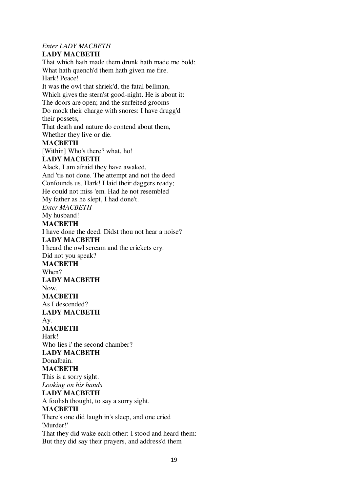# *Enter LADY MACBETH*

# **LADY MACBETH**

That which hath made them drunk hath made me bold; What hath quench'd them hath given me fire. Hark! Peace! It was the owl that shriek'd, the fatal bellman, Which gives the stern'st good-night. He is about it: The doors are open; and the surfeited grooms Do mock their charge with snores: I have drugg'd their possets, That death and nature do contend about them, Whether they live or die. **MACBETH** [Within] Who's there? what, ho! **LADY MACBETH** Alack, I am afraid they have awaked, And 'tis not done. The attempt and not the deed Confounds us. Hark! I laid their daggers ready; He could not miss 'em. Had he not resembled My father as he slept, I had done't. *Enter MACBETH* My husband! **MACBETH** I have done the deed. Didst thou not hear a noise? **LADY MACBETH** I heard the owl scream and the crickets cry. Did not you speak? **MACBETH** When? **LADY MACBETH** Now. **MACBETH** As I descended? **LADY MACBETH** Ay. **MACBETH** Hark! Who lies i' the second chamber? **LADY MACBETH** Donalbain. **MACBETH** This is a sorry sight. *Looking on his hands* **LADY MACBETH** A foolish thought, to say a sorry sight. **MACBETH** There's one did laugh in's sleep, and one cried 'Murder!' That they did wake each other: I stood and heard them: But they did say their prayers, and address'd them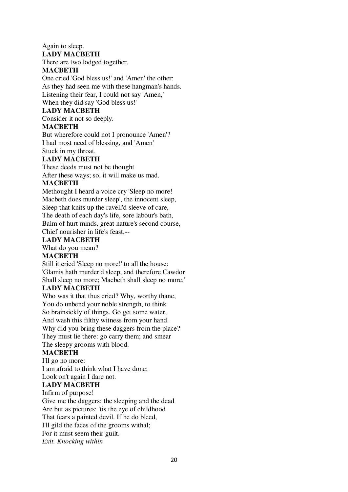Again to sleep.

#### **LADY MACBETH**

There are two lodged together.

# **MACBETH**

One cried 'God bless us!' and 'Amen' the other; As they had seen me with these hangman's hands. Listening their fear, I could not say 'Amen,' When they did say 'God bless us!'

# **LADY MACBETH**

Consider it not so deeply.

# **MACBETH**

But wherefore could not I pronounce 'Amen'? I had most need of blessing, and 'Amen' Stuck in my throat.

# **LADY MACBETH**

These deeds must not be thought After these ways; so, it will make us mad.

# **MACBETH**

Methought I heard a voice cry 'Sleep no more! Macbeth does murder sleep', the innocent sleep, Sleep that knits up the ravell'd sleeve of care, The death of each day's life, sore labour's bath, Balm of hurt minds, great nature's second course, Chief nourisher in life's feast,--

# **LADY MACBETH**

What do you mean?

# **MACBETH**

Still it cried 'Sleep no more!' to all the house: 'Glamis hath murder'd sleep, and therefore Cawdor Shall sleep no more; Macbeth shall sleep no more.'

# **LADY MACBETH**

Who was it that thus cried? Why, worthy thane, You do unbend your noble strength, to think So brainsickly of things. Go get some water, And wash this filthy witness from your hand. Why did you bring these daggers from the place? They must lie there: go carry them; and smear The sleepy grooms with blood.

# **MACBETH**

I'll go no more: I am afraid to think what I have done; Look on't again I dare not.

# **LADY MACBETH**

Infirm of purpose!

Give me the daggers: the sleeping and the dead Are but as pictures: 'tis the eye of childhood That fears a painted devil. If he do bleed, I'll gild the faces of the grooms withal; For it must seem their guilt. *Exit. Knocking within*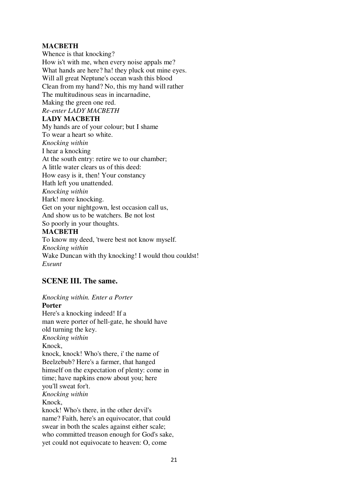# **MACBETH**

Whence is that knocking? How is't with me, when every noise appals me? What hands are here? ha! they pluck out mine eyes. Will all great Neptune's ocean wash this blood Clean from my hand? No, this my hand will rather The multitudinous seas in incarnadine, Making the green one red. *Re-enter LADY MACBETH* **LADY MACBETH** My hands are of your colour; but I shame To wear a heart so white. *Knocking within* I hear a knocking At the south entry: retire we to our chamber; A little water clears us of this deed: How easy is it, then! Your constancy Hath left you unattended. *Knocking within* Hark! more knocking. Get on your nightgown, lest occasion call us, And show us to be watchers. Be not lost

So poorly in your thoughts.

# **MACBETH**

To know my deed, 'twere best not know myself. *Knocking within* Wake Duncan with thy knocking! I would thou couldst! *Exeunt*

# **SCENE III. The same.**

*Knocking within. Enter a Porter* **Porter** Here's a knocking indeed! If a man were porter of hell-gate, he should have old turning the key. *Knocking within* Knock, knock, knock! Who's there, i' the name of Beelzebub? Here's a farmer, that hanged himself on the expectation of plenty: come in time; have napkins enow about you; here you'll sweat for't. *Knocking within* Knock, knock! Who's there, in the other devil's name? Faith, here's an equivocator, that could swear in both the scales against either scale; who committed treason enough for God's sake, yet could not equivocate to heaven: O, come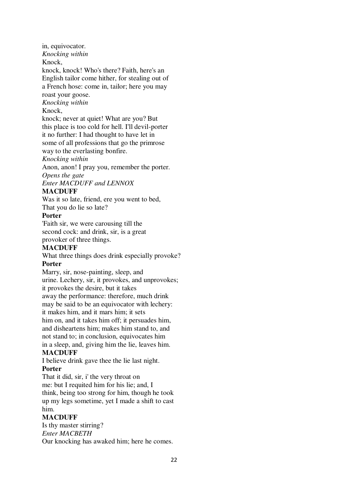in, equivocator.

*Knocking within*

Knock,

knock, knock! Who's there? Faith, here's an English tailor come hither, for stealing out of a French hose: come in, tailor; here you may roast your goose.

*Knocking within*

# Knock,

knock; never at quiet! What are you? But this place is too cold for hell. I'll devil-porter it no further: I had thought to have let in some of all professions that go the primrose way to the everlasting bonfire.

*Knocking within*

Anon, anon! I pray you, remember the porter. *Opens the gate*

*Enter MACDUFF and LENNOX*

# **MACDUFF**

Was it so late, friend, ere you went to bed, That you do lie so late?

# **Porter**

'Faith sir, we were carousing till the second cock: and drink, sir, is a great provoker of three things.

# **MACDUFF**

What three things does drink especially provoke? **Porter**

Marry, sir, nose-painting, sleep, and urine. Lechery, sir, it provokes, and unprovokes; it provokes the desire, but it takes away the performance: therefore, much drink may be said to be an equivocator with lechery: it makes him, and it mars him; it sets him on, and it takes him off; it persuades him,

and disheartens him; makes him stand to, and not stand to; in conclusion, equivocates him in a sleep, and, giving him the lie, leaves him.

# **MACDUFF**

I believe drink gave thee the lie last night.

# **Porter**

That it did, sir, i' the very throat on me: but I requited him for his lie; and, I think, being too strong for him, though he took up my legs sometime, yet I made a shift to cast him.

# **MACDUFF**

Is thy master stirring? *Enter MACBETH* Our knocking has awaked him; here he comes.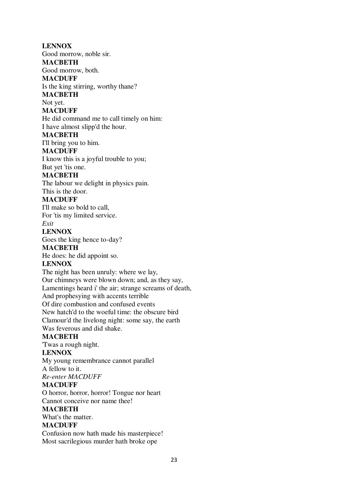**LENNOX** Good morrow, noble sir. **MACBETH** Good morrow, both. **MACDUFF** Is the king stirring, worthy thane? **MACBETH** Not yet. **MACDUFF** He did command me to call timely on him: I have almost slipp'd the hour. **MACBETH** I'll bring you to him. **MACDUFF** I know this is a joyful trouble to you; But yet 'tis one. **MACBETH** The labour we delight in physics pain. This is the door. **MACDUFF** I'll make so bold to call, For 'tis my limited service. *Exit* **LENNOX** Goes the king hence to-day? **MACBETH** He does: he did appoint so. **LENNOX** The night has been unruly: where we lay, Our chimneys were blown down; and, as they say, Lamentings heard i' the air; strange screams of death, And prophesying with accents terrible Of dire combustion and confused events New hatch'd to the woeful time: the obscure bird Clamour'd the livelong night: some say, the earth Was feverous and did shake. **MACBETH** 'Twas a rough night. **LENNOX** My young remembrance cannot parallel A fellow to it. *Re-enter MACDUFF* **MACDUFF** O horror, horror, horror! Tongue nor heart Cannot conceive nor name thee! **MACBETH** What's the matter. **MACDUFF** Confusion now hath made his masterpiece! Most sacrilegious murder hath broke ope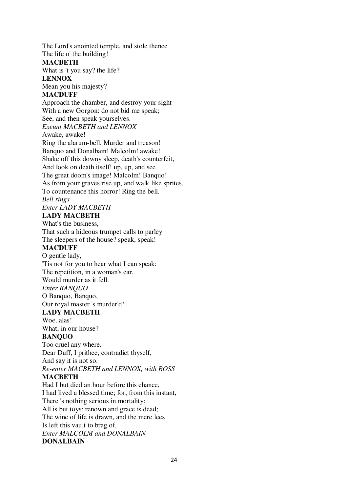The Lord's anointed temple, and stole thence The life o' the building! **MACBETH** What is 't you say? the life? **LENNOX** Mean you his majesty? **MACDUFF** Approach the chamber, and destroy your sight With a new Gorgon: do not bid me speak; See, and then speak yourselves. *Exeunt MACBETH and LENNOX* Awake, awake! Ring the alarum-bell. Murder and treason! Banquo and Donalbain! Malcolm! awake! Shake off this downy sleep, death's counterfeit, And look on death itself! up, up, and see The great doom's image! Malcolm! Banquo! As from your graves rise up, and walk like sprites, To countenance this horror! Ring the bell. *Bell rings*

# *Enter LADY MACBETH* **LADY MACBETH**

What's the business, That such a hideous trumpet calls to parley The sleepers of the house? speak, speak!

# **MACDUFF**

O gentle lady, 'Tis not for you to hear what I can speak: The repetition, in a woman's ear, Would murder as it fell. *Enter BANQUO* O Banquo, Banquo, Our royal master 's murder'd!

# **LADY MACBETH**

Woe, alas! What, in our house?

# **BANQUO**

Too cruel any where. Dear Duff, I prithee, contradict thyself,

And say it is not so.

*Re-enter MACBETH and LENNOX, with ROSS*

# **MACBETH**

Had I but died an hour before this chance, I had lived a blessed time; for, from this instant, There 's nothing serious in mortality: All is but toys: renown and grace is dead; The wine of life is drawn, and the mere lees Is left this vault to brag of. *Enter MALCOLM and DONALBAIN* **DONALBAIN**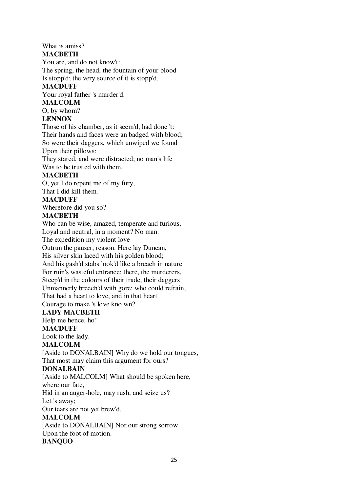# What is amiss?

# **MACBETH**

You are, and do not know't:

The spring, the head, the fountain of your blood Is stopp'd; the very source of it is stopp'd.

# **MACDUFF**

Your royal father 's murder'd.

# **MALCOLM**

O, by whom?

# **LENNOX**

Those of his chamber, as it seem'd, had done 't: Their hands and faces were an badged with blood; So were their daggers, which unwiped we found Upon their pillows:

They stared, and were distracted; no man's life Was to be trusted with them.

# **MACBETH**

O, yet I do repent me of my fury, That I did kill them.

# **MACDUFF**

Wherefore did you so?

# **MACBETH**

Who can be wise, amazed, temperate and furious, Loyal and neutral, in a moment? No man:

The expedition my violent love

Outrun the pauser, reason. Here lay Duncan,

His silver skin laced with his golden blood;

And his gash'd stabs look'd like a breach in nature

For ruin's wasteful entrance: there, the murderers,

Steep'd in the colours of their trade, their daggers

Unmannerly breech'd with gore: who could refrain,

That had a heart to love, and in that heart

Courage to make 's love kno wn?

# **LADY MACBETH**

Help me hence, ho! **MACDUFF**

# Look to the lady.

# **MALCOLM**

[Aside to DONALBAIN] Why do we hold our tongues,

That most may claim this argument for ours?

# **DONALBAIN**

[Aside to MALCOLM] What should be spoken here,

# where our fate,

Hid in an auger-hole, may rush, and seize us?

Let 's away;

Our tears are not yet brew'd.

# **MALCOLM**

[Aside to DONALBAIN] Nor our strong sorrow Upon the foot of motion.

# **BANQUO**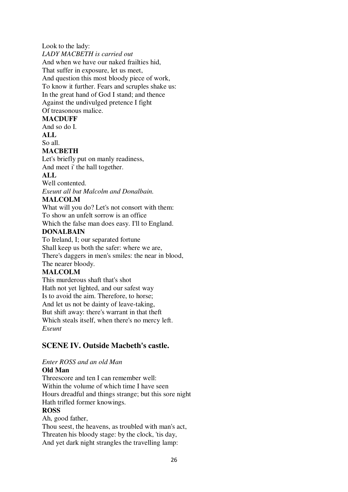Look to the lady: *LADY MACBETH is carried out* And when we have our naked frailties hid, That suffer in exposure, let us meet, And question this most bloody piece of work, To know it further. Fears and scruples shake us: In the great hand of God I stand; and thence Against the undivulged pretence I fight Of treasonous malice.

# **MACDUFF**

And so do I. **ALL**

So all.

# **MACBETH**

Let's briefly put on manly readiness, And meet i' the hall together.

# **ALL**

Well contented.

*Exeunt all but Malcolm and Donalbain.*

# **MALCOLM**

What will you do? Let's not consort with them: To show an unfelt sorrow is an office

Which the false man does easy. I'll to England.

# **DONALBAIN**

To Ireland, I; our separated fortune Shall keep us both the safer: where we are, There's daggers in men's smiles: the near in blood, The nearer bloody.

# **MALCOLM**

This murderous shaft that's shot Hath not yet lighted, and our safest way Is to avoid the aim. Therefore, to horse; And let us not be dainty of leave-taking, But shift away: there's warrant in that theft Which steals itself, when there's no mercy left. *Exeunt*

# **SCENE IV. Outside Macbeth's castle.**

# *Enter ROSS and an old Man*

# **Old Man**

Threescore and ten I can remember well: Within the volume of which time I have seen Hours dreadful and things strange; but this sore night Hath trifled former knowings. **ROSS** Ah, good father,

Thou seest, the heavens, as troubled with man's act, Threaten his bloody stage: by the clock, 'tis day, And yet dark night strangles the travelling lamp: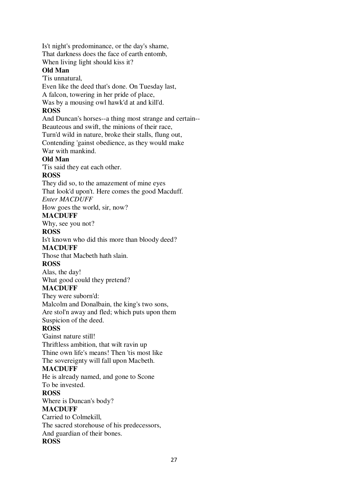Is't night's predominance, or the day's shame, That darkness does the face of earth entomb, When living light should kiss it?

# **Old Man**

'Tis unnatural,

Even like the deed that's done. On Tuesday last,

A falcon, towering in her pride of place,

Was by a mousing owl hawk'd at and kill'd.

# **ROSS**

And Duncan's horses--a thing most strange and certain-- Beauteous and swift, the minions of their race, Turn'd wild in nature, broke their stalls, flung out, Contending 'gainst obedience, as they would make War with mankind.

# **Old Man**

'Tis said they eat each other.

# **ROSS**

They did so, to the amazement of mine eyes That look'd upon't. Here comes the good Macduff. *Enter MACDUFF*

How goes the world, sir, now?

# **MACDUFF**

Why, see you not?

# **ROSS**

Is't known who did this more than bloody deed?

# **MACDUFF**

Those that Macbeth hath slain.

# **ROSS**

Alas, the day! What good could they pretend?

# **MACDUFF**

They were suborn'd: Malcolm and Donalbain, the king's two sons, Are stol'n away and fled; which puts upon them Suspicion of the deed.

# **ROSS**

'Gainst nature still! Thriftless ambition, that wilt ravin up Thine own life's means! Then 'tis most like The sovereignty will fall upon Macbeth.

# **MACDUFF**

He is already named, and gone to Scone To be invested.

# **ROSS**

Where is Duncan's body?

# **MACDUFF**

Carried to Colmekill, The sacred storehouse of his predecessors, And guardian of their bones. **ROSS**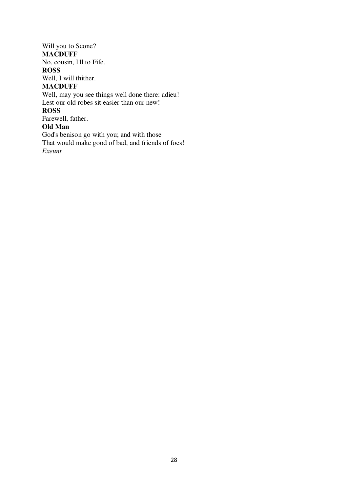# Will you to Scone?

# **MACDUFF**

No, cousin, I'll to Fife.

# **ROSS**

Well, I will thither.

# **MACDUFF**

Well, may you see things well done there: adieu! Lest our old robes sit easier than our new! **ROSS** Farewell, father. **Old Man** God's benison go with you; and with those

That would make good of bad, and friends of foes! *Exeunt*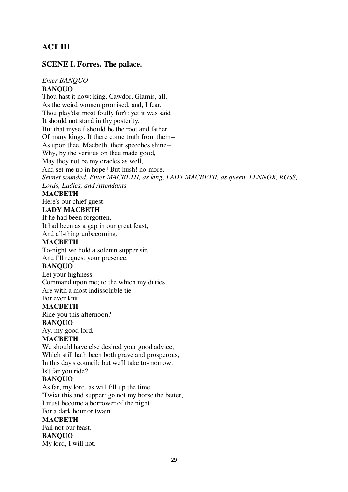# **ACT III**

# **SCENE I. Forres. The palace.**

# *Enter BANQUO*

# **BANQUO**

Thou hast it now: king, Cawdor, Glamis, all, As the weird women promised, and, I fear, Thou play'dst most foully for't: yet it was said It should not stand in thy posterity, But that myself should be the root and father Of many kings. If there come truth from them-- As upon thee, Macbeth, their speeches shine-- Why, by the verities on thee made good, May they not be my oracles as well, And set me up in hope? But hush! no more. *Sennet sounded. Enter MACBETH, as king, LADY MACBETH, as queen, LENNOX, ROSS, Lords, Ladies, and Attendants*

#### **MACBETH**

Here's our chief guest.

#### **LADY MACBETH**

If he had been forgotten, It had been as a gap in our great feast,

And all-thing unbecoming.

# **MACBETH**

To-night we hold a solemn supper sir, And I'll request your presence.

#### **BANQUO**

Let your highness Command upon me; to the which my duties Are with a most indissoluble tie For ever knit.

#### **MACBETH**

Ride you this afternoon?

#### **BANQUO**

Ay, my good lord.

# **MACBETH**

We should have else desired your good advice, Which still hath been both grave and prosperous, In this day's council; but we'll take to-morrow. Is't far you ride?

#### **BANQUO**

As far, my lord, as will fill up the time 'Twixt this and supper: go not my horse the better, I must become a borrower of the night For a dark hour or twain.

# **MACBETH**

Fail not our feast. **BANQUO** My lord, I will not.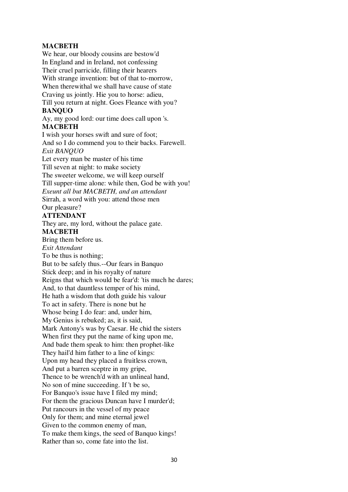# **MACBETH**

We hear, our bloody cousins are bestow'd In England and in Ireland, not confessing Their cruel parricide, filling their hearers With strange invention: but of that to-morrow, When therewithal we shall have cause of state Craving us jointly. Hie you to horse: adieu, Till you return at night. Goes Fleance with you? **BANQUO** Ay, my good lord: our time does call upon 's. **MACBETH** I wish your horses swift and sure of foot; And so I do commend you to their backs. Farewell. *Exit BANQUO* Let every man be master of his time Till seven at night: to make society The sweeter welcome, we will keep ourself Till supper-time alone: while then, God be with you! *Exeunt all but MACBETH, and an attendant* Sirrah, a word with you: attend those men Our pleasure? **ATTENDANT** They are, my lord, without the palace gate. **MACBETH** Bring them before us. *Exit Attendant* To be thus is nothing; But to be safely thus.--Our fears in Banquo Stick deep; and in his royalty of nature Reigns that which would be fear'd: 'tis much he dares; And, to that dauntless temper of his mind, He hath a wisdom that doth guide his valour To act in safety. There is none but he Whose being I do fear: and, under him, My Genius is rebuked; as, it is said, Mark Antony's was by Caesar. He chid the sisters When first they put the name of king upon me. And bade them speak to him: then prophet-like They hail'd him father to a line of kings: Upon my head they placed a fruitless crown, And put a barren sceptre in my gripe, Thence to be wrench'd with an unlineal hand, No son of mine succeeding. If 't be so, For Banquo's issue have I filed my mind; For them the gracious Duncan have I murder'd; Put rancours in the vessel of my peace Only for them; and mine eternal jewel Given to the common enemy of man, To make them kings, the seed of Banquo kings! Rather than so, come fate into the list.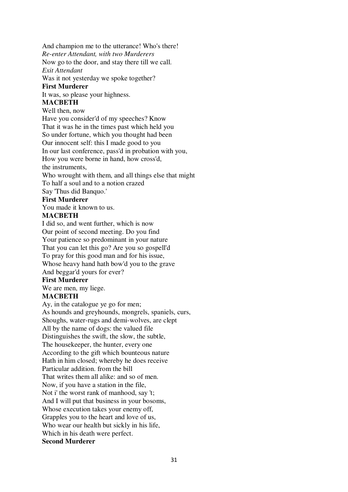And champion me to the utterance! Who's there!

*Re-enter Attendant, with two Murderers*

Now go to the door, and stay there till we call. *Exit Attendant*

Was it not yesterday we spoke together?

# **First Murderer**

It was, so please your highness.

# **MACBETH**

Well then, now

Have you consider'd of my speeches? Know That it was he in the times past which held you So under fortune, which you thought had been Our innocent self: this I made good to you In our last conference, pass'd in probation with you, How you were borne in hand, how cross'd, the instruments,

Who wrought with them, and all things else that might To half a soul and to a notion crazed

Say 'Thus did Banquo.'

# **First Murderer**

You made it known to us.

# **MACBETH**

I did so, and went further, which is now Our point of second meeting. Do you find Your patience so predominant in your nature That you can let this go? Are you so gospell'd To pray for this good man and for his issue, Whose heavy hand hath bow'd you to the grave And beggar'd yours for ever?

# **First Murderer**

We are men, my liege.

# **MACBETH**

Ay, in the catalogue ye go for men; As hounds and greyhounds, mongrels, spaniels, curs, Shoughs, water-rugs and demi-wolves, are clept All by the name of dogs: the valued file Distinguishes the swift, the slow, the subtle, The housekeeper, the hunter, every one According to the gift which bounteous nature Hath in him closed; whereby he does receive Particular addition. from the bill That writes them all alike: and so of men. Now, if you have a station in the file, Not i' the worst rank of manhood, say 't; And I will put that business in your bosoms, Whose execution takes your enemy off, Grapples you to the heart and love of us, Who wear our health but sickly in his life, Which in his death were perfect. **Second Murderer**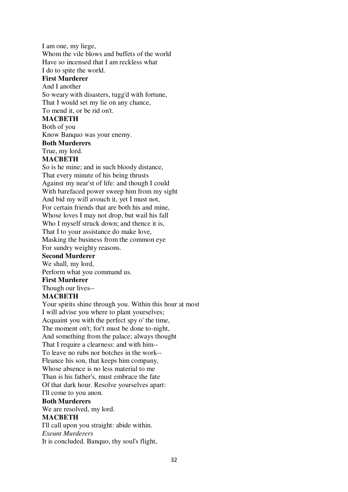I am one, my liege, Whom the vile blows and buffets of the world Have so incensed that I am reckless what I do to spite the world. **First Murderer** And I another So weary with disasters, tugg'd with fortune, That I would set my lie on any chance,

To mend it, or be rid on't.

#### **MACBETH**

Both of you

Know Banquo was your enemy.

#### **Both Murderers**

True, my lord.

#### **MACBETH**

So is he mine; and in such bloody distance, That every minute of his being thrusts Against my near'st of life: and though I could With barefaced power sweep him from my sight And bid my will avouch it, yet I must not, For certain friends that are both his and mine, Whose loves I may not drop, but wail his fall Who I myself struck down; and thence it is, That I to your assistance do make love, Masking the business from the common eye For sundry weighty reasons.

# **Second Murderer**

We shall, my lord,

Perform what you command us.

# **First Murderer**

Though our lives--

#### **MACBETH**

Your spirits shine through you. Within this hour at most I will advise you where to plant yourselves; Acquaint you with the perfect spy o' the time, The moment on't; for't must be done to-night, And something from the palace; always thought That I require a clearness: and with him-- To leave no rubs nor botches in the work-- Fleance his son, that keeps him company, Whose absence is no less material to me Than is his father's, must embrace the fate Of that dark hour. Resolve yourselves apart: I'll come to you anon. **Both Murderers** We are resolved, my lord.

# **MACBETH**

I'll call upon you straight: abide within.

*Exeunt Murderers*

It is concluded. Banquo, thy soul's flight,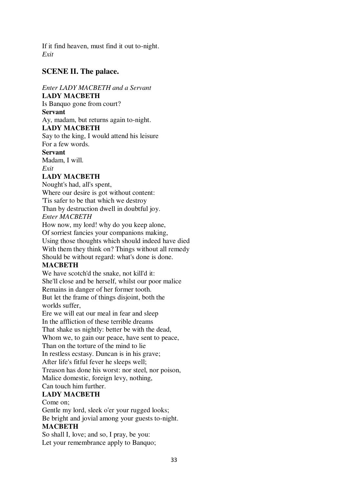If it find heaven, must find it out to-night. *Exit*

# **SCENE II. The palace.**

# *Enter LADY MACBETH and a Servant*

# **LADY MACBETH**

Is Banquo gone from court?

# **Servant**

Ay, madam, but returns again to-night.

# **LADY MACBETH**

Say to the king, I would attend his leisure For a few words.

# **Servant**

Madam, I will. *Exit*

# **LADY MACBETH**

Nought's had, all's spent,

Where our desire is got without content:

'Tis safer to be that which we destroy

Than by destruction dwell in doubtful joy.

# *Enter MACBETH*

How now, my lord! why do you keep alone, Of sorriest fancies your companions making, Using those thoughts which should indeed have died With them they think on? Things without all remedy Should be without regard: what's done is done.

# **MACBETH**

We have scotch'd the snake, not kill'd it: She'll close and be herself, whilst our poor malice Remains in danger of her former tooth. But let the frame of things disjoint, both the worlds suffer,

Ere we will eat our meal in fear and sleep

In the affliction of these terrible dreams

That shake us nightly: better be with the dead,

Whom we, to gain our peace, have sent to peace,

Than on the torture of the mind to lie

In restless ecstasy. Duncan is in his grave;

After life's fitful fever he sleeps well;

Treason has done his worst: nor steel, nor poison,

Malice domestic, foreign levy, nothing,

Can touch him further.

# **LADY MACBETH**

Come on;

Gentle my lord, sleek o'er your rugged looks; Be bright and jovial among your guests to-night. **MACBETH**

So shall I, love; and so, I pray, be you: Let your remembrance apply to Banquo;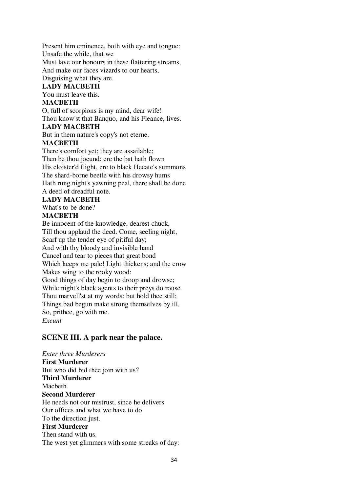Present him eminence, both with eye and tongue: Unsafe the while, that we Must lave our honours in these flattering streams, And make our faces vizards to our hearts, Disguising what they are.

# **LADY MACBETH**

You must leave this.

# **MACBETH**

O, full of scorpions is my mind, dear wife! Thou know'st that Banquo, and his Fleance, lives.

#### **LADY MACBETH**

But in them nature's copy's not eterne.

# **MACBETH**

There's comfort yet; they are assailable; Then be thou jocund: ere the bat hath flown His cloister'd flight, ere to black Hecate's summons The shard-borne beetle with his drowsy hums Hath rung night's yawning peal, there shall be done A deed of dreadful note.

# **LADY MACBETH**

What's to be done?

# **MACBETH**

Be innocent of the knowledge, dearest chuck, Till thou applaud the deed. Come, seeling night, Scarf up the tender eye of pitiful day; And with thy bloody and invisible hand Cancel and tear to pieces that great bond Which keeps me pale! Light thickens; and the crow Makes wing to the rooky wood: Good things of day begin to droop and drowse; While night's black agents to their preys do rouse. Thou marvell'st at my words: but hold thee still; Things bad begun make strong themselves by ill. So, prithee, go with me. *Exeunt*

# **SCENE III. A park near the palace.**

*Enter three Murderers* **First Murderer** But who did bid thee join with us? **Third Murderer** Macbeth. **Second Murderer** He needs not our mistrust, since he delivers Our offices and what we have to do To the direction just. **First Murderer** Then stand with us. The west yet glimmers with some streaks of day: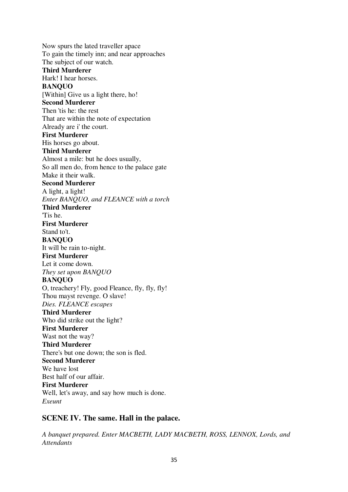Now spurs the lated traveller apace To gain the timely inn; and near approaches The subject of our watch. **Third Murderer** Hark! I hear horses. **BANQUO** [Within] Give us a light there, ho! **Second Murderer** Then 'tis he: the rest That are within the note of expectation Already are i' the court. **First Murderer** His horses go about. **Third Murderer** Almost a mile: but he does usually, So all men do, from hence to the palace gate Make it their walk. **Second Murderer** A light, a light! *Enter BANQUO, and FLEANCE with a torch* **Third Murderer** 'Tis he. **First Murderer** Stand to't. **BANQUO** It will be rain to-night. **First Murderer** Let it come down. *They set upon BANQUO* **BANQUO** O, treachery! Fly, good Fleance, fly, fly, fly! Thou mayst revenge. O slave! *Dies. FLEANCE escapes* **Third Murderer** Who did strike out the light? **First Murderer** Wast not the way? **Third Murderer** There's but one down; the son is fled. **Second Murderer** We have lost Best half of our affair. **First Murderer** Well, let's away, and say how much is done. *Exeunt*

# **SCENE IV. The same. Hall in the palace.**

*A banquet prepared. Enter MACBETH, LADY MACBETH, ROSS, LENNOX, Lords, and Attendants*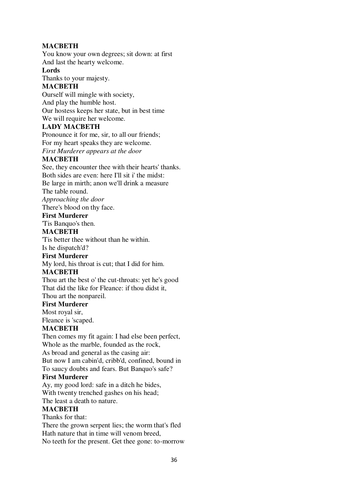# **MACBETH**

You know your own degrees; sit down: at first And last the hearty welcome.

#### **Lords**

Thanks to your majesty.

# **MACBETH**

Ourself will mingle with society, And play the humble host. Our hostess keeps her state, but in best time We will require her welcome.

# **LADY MACBETH**

Pronounce it for me, sir, to all our friends; For my heart speaks they are welcome. *First Murderer appears at the door*

# **MACBETH**

See, they encounter thee with their hearts' thanks. Both sides are even: here I'll sit i' the midst: Be large in mirth; anon we'll drink a measure The table round. *Approaching the door* There's blood on thy face. **First Murderer** 'Tis Banquo's then. **MACBETH** 'Tis better thee without than he within. Is he dispatch'd?

# **First Murderer**

My lord, his throat is cut; that I did for him.

# **MACBETH**

Thou art the best o' the cut-throats: yet he's good That did the like for Fleance: if thou didst it, Thou art the nonpareil.

# **First Murderer**

Most royal sir,

Fleance is 'scaped.

# **MACBETH**

Then comes my fit again: I had else been perfect, Whole as the marble, founded as the rock, As broad and general as the casing air: But now I am cabin'd, cribb'd, confined, bound in To saucy doubts and fears. But Banquo's safe?

# **First Murderer**

Ay, my good lord: safe in a ditch he bides, With twenty trenched gashes on his head;

# The least a death to nature.

# **MACBETH**

Thanks for that: There the grown serpent lies; the worm that's fled Hath nature that in time will venom breed, No teeth for the present. Get thee gone: to-morrow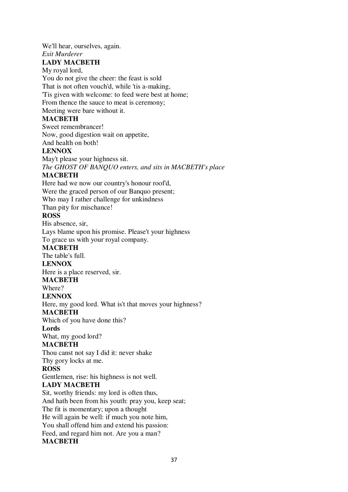We'll hear, ourselves, again.

#### *Exit Murderer*

# **LADY MACBETH**

My royal lord, You do not give the cheer: the feast is sold That is not often vouch'd, while 'tis a-making, 'Tis given with welcome: to feed were best at home; From thence the sauce to meat is ceremony; Meeting were bare without it.

# **MACBETH**

Sweet remembrancer! Now, good digestion wait on appetite, And health on both!

# **LENNOX**

May't please your highness sit. *The GHOST OF BANQUO enters, and sits in MACBETH's place*

# **MACBETH**

Here had we now our country's honour roof'd, Were the graced person of our Banquo present; Who may I rather challenge for unkindness Than pity for mischance! **ROSS** His absence, sir, Lays blame upon his promise. Please't your highness To grace us with your royal company. **MACBETH** The table's full.

# **LENNOX**

Here is a place reserved, sir.

# **MACBETH**

Where?

# **LENNOX**

Here, my good lord. What is't that moves your highness?

# **MACBETH**

Which of you have done this?

# **Lords**

What, my good lord?

# **MACBETH**

Thou canst not say I did it: never shake

Thy gory locks at me.

# **ROSS**

Gentlemen, rise: his highness is not well.

# **LADY MACBETH**

Sit, worthy friends: my lord is often thus, And hath been from his youth: pray you, keep seat; The fit is momentary; upon a thought He will again be well: if much you note him, You shall offend him and extend his passion: Feed, and regard him not. Are you a man? **MACBETH**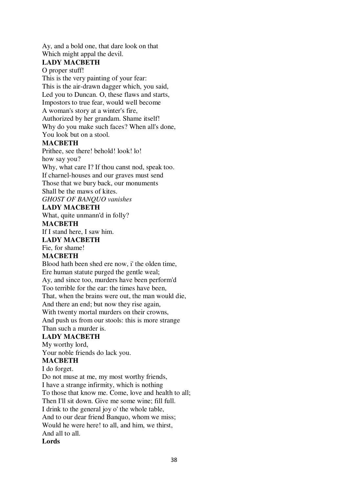Ay, and a bold one, that dare look on that Which might appal the devil.

# **LADY MACBETH**

O proper stuff!

This is the very painting of your fear: This is the air-drawn dagger which, you said, Led you to Duncan. O, these flaws and starts, Impostors to true fear, would well become A woman's story at a winter's fire, Authorized by her grandam. Shame itself! Why do you make such faces? When all's done, You look but on a stool.

# **MACBETH**

Prithee, see there! behold! look! lo! how say you? Why, what care I? If thou canst nod, speak too. If charnel-houses and our graves must send Those that we bury back, our monuments Shall be the maws of kites. *GHOST OF BANQUO vanishes*

# **LADY MACBETH**

What, quite unmann'd in folly?

# **MACBETH**

If I stand here, I saw him.

**LADY MACBETH**

Fie, for shame!

# **MACBETH**

Blood hath been shed ere now, i' the olden time, Ere human statute purged the gentle weal; Ay, and since too, murders have been perform'd Too terrible for the ear: the times have been, That, when the brains were out, the man would die, And there an end; but now they rise again, With twenty mortal murders on their crowns, And push us from our stools: this is more strange Than such a murder is.

# **LADY MACBETH**

My worthy lord,

Your noble friends do lack you.

# **MACBETH**

I do forget.

Do not muse at me, my most worthy friends, I have a strange infirmity, which is nothing To those that know me. Come, love and health to all; Then I'll sit down. Give me some wine; fill full. I drink to the general joy o' the whole table, And to our dear friend Banquo, whom we miss; Would he were here! to all, and him, we thirst, And all to all. **Lords**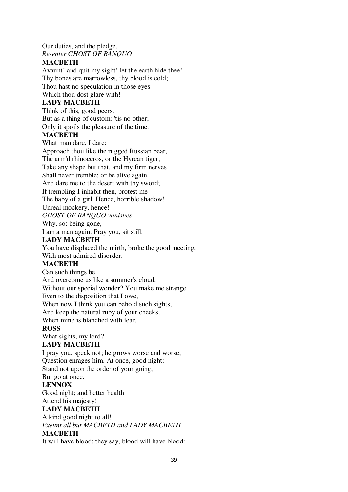Our duties, and the pledge. *Re-enter GHOST OF BANQUO*

# **MACBETH**

Avaunt! and quit my sight! let the earth hide thee! Thy bones are marrowless, thy blood is cold; Thou hast no speculation in those eyes Which thou dost glare with!

# **LADY MACBETH**

Think of this, good peers, But as a thing of custom: 'tis no other; Only it spoils the pleasure of the time.

# **MACBETH**

What man dare, I dare: Approach thou like the rugged Russian bear, The arm'd rhinoceros, or the Hyrcan tiger; Take any shape but that, and my firm nerves Shall never tremble: or be alive again, And dare me to the desert with thy sword; If trembling I inhabit then, protest me The baby of a girl. Hence, horrible shadow! Unreal mockery, hence! *GHOST OF BANQUO vanishes* Why, so: being gone,

I am a man again. Pray you, sit still.

# **LADY MACBETH**

You have displaced the mirth, broke the good meeting, With most admired disorder.

# **MACBETH**

Can such things be, And overcome us like a summer's cloud, Without our special wonder? You make me strange Even to the disposition that I owe, When now I think you can behold such sights, And keep the natural ruby of your cheeks, When mine is blanched with fear.

# **ROSS**

What sights, my lord?

# **LADY MACBETH**

I pray you, speak not; he grows worse and worse; Question enrages him. At once, good night: Stand not upon the order of your going,

# But go at once.

# **LENNOX**

Good night; and better health

# Attend his majesty!

**LADY MACBETH**

# A kind good night to all!

*Exeunt all but MACBETH and LADY MACBETH*

# **MACBETH**

It will have blood; they say, blood will have blood: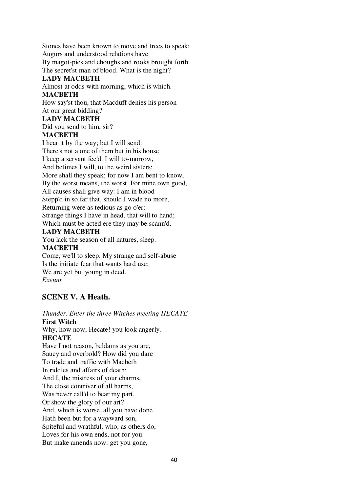Stones have been known to move and trees to speak; Augurs and understood relations have

By magot-pies and choughs and rooks brought forth

The secret'st man of blood. What is the night?

# **LADY MACBETH**

Almost at odds with morning, which is which.

# **MACBETH**

How say'st thou, that Macduff denies his person

# At our great bidding?

# **LADY MACBETH**

Did you send to him, sir? **MACBETH**

I hear it by the way; but I will send: There's not a one of them but in his house I keep a servant fee'd. I will to-morrow, And betimes I will, to the weird sisters: More shall they speak; for now I am bent to know, By the worst means, the worst. For mine own good, All causes shall give way: I am in blood Stepp'd in so far that, should I wade no more, Returning were as tedious as go o'er: Strange things I have in head, that will to hand; Which must be acted ere they may be scann'd.

# **LADY MACBETH**

You lack the season of all natures, sleep.

# **MACBETH**

Come, we'll to sleep. My strange and self-abuse Is the initiate fear that wants hard use: We are yet but young in deed. *Exeunt*

# **SCENE V. A Heath.**

*Thunder. Enter the three Witches meeting HECATE* **First Witch** Why, how now, Hecate! you look angerly. **HECATE** Have I not reason, beldams as you are, Saucy and overbold? How did you dare To trade and traffic with Macbeth In riddles and affairs of death; And I, the mistress of your charms, The close contriver of all harms, Was never call'd to bear my part, Or show the glory of our art? And, which is worse, all you have done Hath been but for a wayward son, Spiteful and wrathful, who, as others do, Loves for his own ends, not for you. But make amends now: get you gone,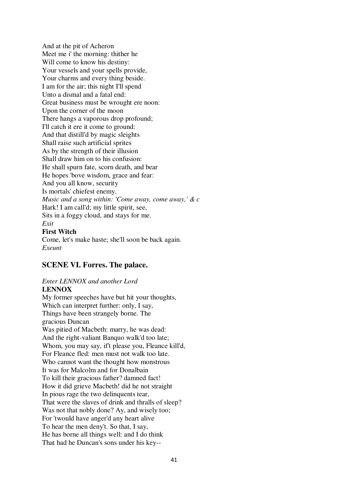And at the pit of Acheron Meet me i' the morning: thither he Will come to know his destiny: Your vessels and your spells provide, Your charms and every thing beside. I am for the air; this night I'll spend Unto a dismal and a fatal end: Great business must be wrought ere noon: Upon the corner of the moon There hangs a vaporous drop profound; I'll catch it ere it come to ground: And that distill'd by magic sleights Shall raise such artificial sprites As by the strength of their illusion Shall draw him on to his confusion: He shall spurn fate, scorn death, and bear He hopes 'bove wisdom, grace and fear: And you all know, security Is mortals' chiefest enemy. *Music and a song within: 'Come away, come away,' & c* Hark! I am call'd; my little spirit, see, Sits in a foggy cloud, and stays for me. *Exit*

# **First Witch**

Come, let's make haste; she'll soon be back again. *Exeunt*

# **SCENE VI. Forres. The palace.**

# *Enter LENNOX and another Lord*

# **LENNOX**

My former speeches have but hit your thoughts, Which can interpret further: only, I say, Things have been strangely borne. The gracious Duncan Was pitied of Macbeth: marry, he was dead: And the right-valiant Banquo walk'd too late; Whom, you may say, if't please you, Fleance kill'd, For Fleance fled: men must not walk too late. Who cannot want the thought how monstrous It was for Malcolm and for Donalbain To kill their gracious father? damned fact! How it did grieve Macbeth! did he not straight In pious rage the two delinquents tear, That were the slaves of drink and thralls of sleep? Was not that nobly done? Ay, and wisely too; For 'twould have anger'd any heart alive To hear the men deny't. So that, I say, He has borne all things well: and I do think That had he Duncan's sons under his key--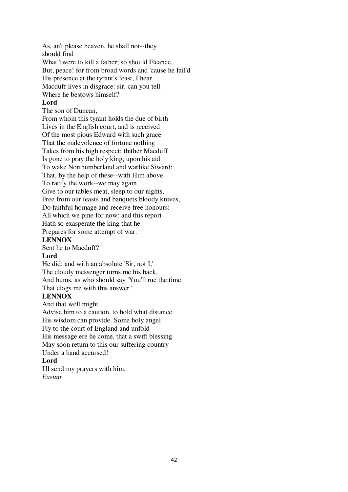As, an't please heaven, he shall not--they should find What 'twere to kill a father; so should Fleance. But, peace! for from broad words and 'cause he fail'd His presence at the tyrant's feast, I hear Macduff lives in disgrace: sir, can you tell Where he bestows himself? **Lord**

The son of Duncan,

From whom this tyrant holds the due of birth Lives in the English court, and is received Of the most pious Edward with such grace That the malevolence of fortune nothing Takes from his high respect: thither Macduff Is gone to pray the holy king, upon his aid To wake Northumberland and warlike Siward: That, by the help of these--with Him above To ratify the work--we may again Give to our tables meat, sleep to our nights, Free from our feasts and banquets bloody knives, Do faithful homage and receive free honours: All which we pine for now: and this report Hath so exasperate the king that he

Prepares for some attempt of war.

# **LENNOX**

Sent he to Macduff?

# **Lord**

He did: and with an absolute 'Sir, not I,' The cloudy messenger turns me his back, And hums, as who should say 'You'll rue the time That clogs me with this answer.'

# **LENNOX**

And that well might Advise him to a caution, to hold what distance His wisdom can provide. Some holy angel Fly to the court of England and unfold His message ere he come, that a swift blessing May soon return to this our suffering country Under a hand accursed!

# **Lord**

I'll send my prayers with him. *Exeunt*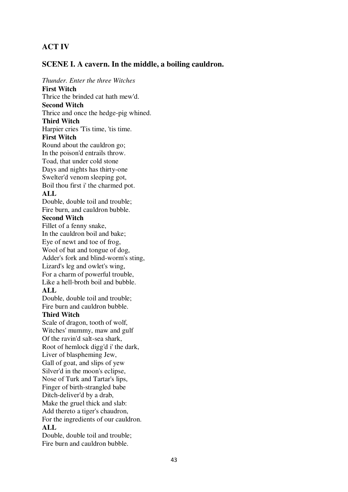# **ACT IV**

# **SCENE I. A cavern. In the middle, a boiling cauldron.**

*Thunder. Enter the three Witches* **First Witch** Thrice the brinded cat hath mew'd. **Second Witch** Thrice and once the hedge-pig whined. **Third Witch** Harpier cries 'Tis time, 'tis time. **First Witch** Round about the cauldron go; In the poison'd entrails throw. Toad, that under cold stone Days and nights has thirty-one Swelter'd venom sleeping got, Boil thou first i' the charmed pot. **ALL** Double, double toil and trouble; Fire burn, and cauldron bubble. **Second Witch** Fillet of a fenny snake, In the cauldron boil and bake; Eye of newt and toe of frog, Wool of bat and tongue of dog, Adder's fork and blind-worm's sting, Lizard's leg and owlet's wing, For a charm of powerful trouble, Like a hell-broth boil and bubble. **ALL** Double, double toil and trouble; Fire burn and cauldron bubble. **Third Witch** Scale of dragon, tooth of wolf, Witches' mummy, maw and gulf Of the ravin'd salt-sea shark, Root of hemlock digg'd i' the dark, Liver of blaspheming Jew,

Ditch-deliver'd by a drab, Make the gruel thick and slab: Add thereto a tiger's chaudron, For the ingredients of our cauldron. **ALL** Double, double toil and trouble; Fire burn and cauldron bubble.

Gall of goat, and slips of yew Silver'd in the moon's eclipse, Nose of Turk and Tartar's lips, Finger of birth-strangled babe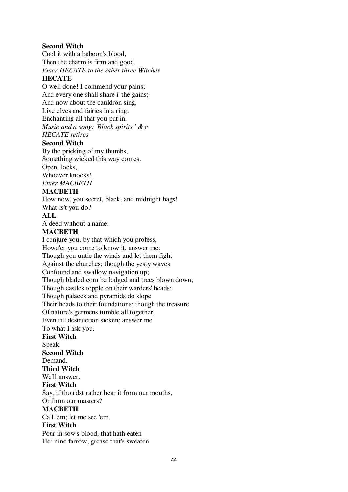#### **Second Witch**

Cool it with a baboon's blood, Then the charm is firm and good. *Enter HECATE to the other three Witches*

# **HECATE**

O well done! I commend your pains; And every one shall share i' the gains; And now about the cauldron sing, Live elves and fairies in a ring, Enchanting all that you put in. *Music and a song: 'Black spirits,' & c HECATE retires*

#### **Second Witch**

By the pricking of my thumbs, Something wicked this way comes. Open, locks, Whoever knocks!

*Enter MACBETH*

#### **MACBETH**

How now, you secret, black, and midnight hags! What is't you do?

# **ALL**

A deed without a name.

#### **MACBETH**

I conjure you, by that which you profess, Howe'er you come to know it, answer me: Though you untie the winds and let them fight Against the churches; though the yesty waves Confound and swallow navigation up; Though bladed corn be lodged and trees blown down; Though castles topple on their warders' heads; Though palaces and pyramids do slope Their heads to their foundations; though the treasure Of nature's germens tumble all together, Even till destruction sicken; answer me To what I ask you. **First Witch** Speak. **Second Witch** Demand. **Third Witch** We'll answer. **First Witch** Say, if thou'dst rather hear it from our mouths, Or from our masters? **MACBETH** Call 'em; let me see 'em. **First Witch** Pour in sow's blood, that hath eaten Her nine farrow; grease that's sweaten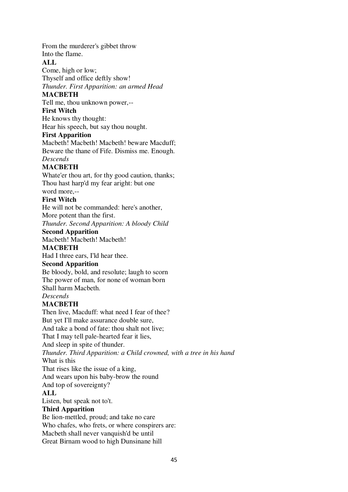From the murderer's gibbet throw Into the flame.

**ALL**

Come, high or low; Thyself and office deftly show! *Thunder. First Apparition: an armed Head*

# **MACBETH**

Tell me, thou unknown power,--

# **First Witch**

He knows thy thought:

Hear his speech, but say thou nought.

# **First Apparition**

Macbeth! Macbeth! Macbeth! beware Macduff; Beware the thane of Fife. Dismiss me. Enough. *Descends*

# **MACBETH**

Whate'er thou art, for thy good caution, thanks; Thou hast harp'd my fear aright: but one word more,--

# **First Witch**

He will not be commanded: here's another, More potent than the first.

*Thunder. Second Apparition: A bloody Child*

# **Second Apparition**

Macbeth! Macbeth! Macbeth!

# **MACBETH**

Had I three ears, I'ld hear thee.

# **Second Apparition**

Be bloody, bold, and resolute; laugh to scorn The power of man, for none of woman born Shall harm Macbeth.

# *Descends*

# **MACBETH**

Then live, Macduff: what need I fear of thee? But yet I'll make assurance double sure, And take a bond of fate: thou shalt not live; That I may tell pale-hearted fear it lies, And sleep in spite of thunder. *Thunder. Third Apparition: a Child crowned, with a tree in his hand* What is this That rises like the issue of a king, And wears upon his baby-brow the round And top of sovereignty? **ALL** Listen, but speak not to't. **Third Apparition** Be lion-mettled, proud; and take no care

Who chafes, who frets, or where conspirers are:

Macbeth shall never vanquish'd be until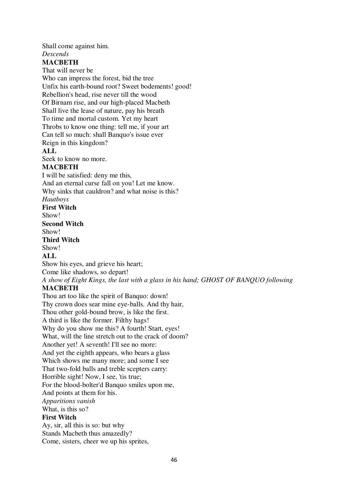Shall come against him.

#### *Descends*

# **MACBETH**

That will never be Who can impress the forest, bid the tree Unfix his earth-bound root? Sweet bodements! good! Rebellion's head, rise never till the wood Of Birnam rise, and our high-placed Macbeth Shall live the lease of nature, pay his breath To time and mortal custom. Yet my heart Throbs to know one thing: tell me, if your art Can tell so much: shall Banquo's issue ever Reign in this kingdom? **ALL**

Seek to know no more.

# **MACBETH**

I will be satisfied: deny me this, And an eternal curse fall on you! Let me know. Why sinks that cauldron? and what noise is this? *Hautboys* **First Witch** Show! **Second Witch** Show! **Third Witch** Show! **ALL** Show his eyes, and grieve his heart; Come like shadows, so depart! *A show of Eight Kings, the last with a glass in his hand; GHOST OF BANQUO following*

# **MACBETH**

Thou art too like the spirit of Banquo: down! Thy crown does sear mine eye-balls. And thy hair, Thou other gold-bound brow, is like the first. A third is like the former. Filthy hags! Why do you show me this? A fourth! Start, eyes! What, will the line stretch out to the crack of doom? Another yet! A seventh! I'll see no more: And yet the eighth appears, who bears a glass Which shows me many more; and some I see That two-fold balls and treble scepters carry: Horrible sight! Now, I see, 'tis true; For the blood-bolter'd Banquo smiles upon me, And points at them for his. *Apparitions vanish* What, is this so? **First Witch** Ay, sir, all this is so: but why Stands Macbeth thus amazedly? Come, sisters, cheer we up his sprites,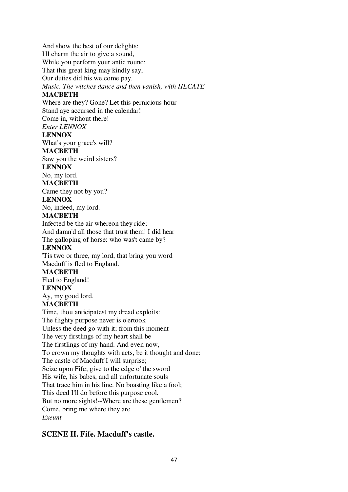And show the best of our delights:

I'll charm the air to give a sound,

While you perform your antic round:

That this great king may kindly say,

Our duties did his welcome pay.

*Music. The witches dance and then vanish, with HECATE*

# **MACBETH**

Where are they? Gone? Let this pernicious hour

Stand aye accursed in the calendar!

Come in, without there!

*Enter LENNOX*

# **LENNOX**

What's your grace's will?

# **MACBETH**

Saw you the weird sisters?

# **LENNOX**

No, my lord.

# **MACBETH**

Came they not by you?

#### **LENNOX**

No, indeed, my lord.

# **MACBETH**

Infected be the air whereon they ride; And damn'd all those that trust them! I did hear The galloping of horse: who was't came by?

# **LENNOX**

'Tis two or three, my lord, that bring you word Macduff is fled to England.

# **MACBETH**

Fled to England!

# **LENNOX**

Ay, my good lord.

# **MACBETH**

Time, thou anticipatest my dread exploits: The flighty purpose never is o'ertook Unless the deed go with it; from this moment The very firstlings of my heart shall be The firstlings of my hand. And even now, To crown my thoughts with acts, be it thought and done: The castle of Macduff I will surprise; Seize upon Fife; give to the edge o' the sword His wife, his babes, and all unfortunate souls That trace him in his line. No boasting like a fool; This deed I'll do before this purpose cool. But no more sights!--Where are these gentlemen? Come, bring me where they are. *Exeunt*

# **SCENE II. Fife. Macduff's castle.**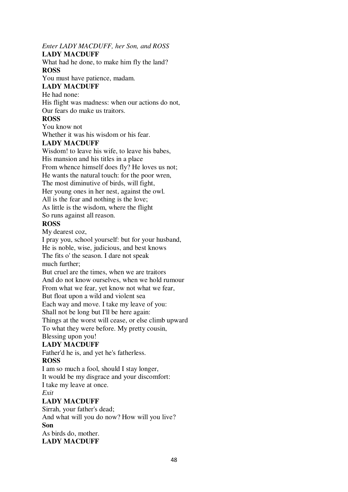# *Enter LADY MACDUFF, her Son, and ROSS*

# **LADY MACDUFF**

What had he done, to make him fly the land? **ROSS**

You must have patience, madam.

# **LADY MACDUFF**

He had none: His flight was madness: when our actions do not, Our fears do make us traitors.

# **ROSS**

You know not Whether it was his wisdom or his fear.

# **LADY MACDUFF**

Wisdom! to leave his wife, to leave his babes, His mansion and his titles in a place From whence himself does fly? He loves us not; He wants the natural touch: for the poor wren, The most diminutive of birds, will fight, Her young ones in her nest, against the owl. All is the fear and nothing is the love; As little is the wisdom, where the flight So runs against all reason.

# **ROSS**

My dearest coz,

I pray you, school yourself: but for your husband, He is noble, wise, judicious, and best knows The fits o' the season. I dare not speak much further; But cruel are the times, when we are traitors And do not know ourselves, when we hold rumour

From what we fear, yet know not what we fear,

But float upon a wild and violent sea

Each way and move. I take my leave of you:

Shall not be long but I'll be here again:

Things at the worst will cease, or else climb upward

To what they were before. My pretty cousin,

# Blessing upon you!

# **LADY MACDUFF**

Father'd he is, and yet he's fatherless.

# **ROSS**

I am so much a fool, should I stay longer, It would be my disgrace and your discomfort: I take my leave at once. *Exit*

# **LADY MACDUFF**

Sirrah, your father's dead; And what will you do now? How will you live? **Son** As birds do, mother. **LADY MACDUFF**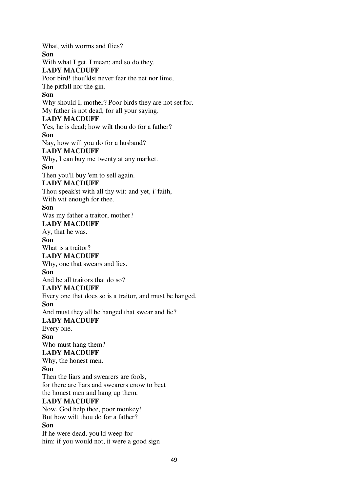What, with worms and flies? **Son** With what I get, I mean; and so do they. **LADY MACDUFF** Poor bird! thou'ldst never fear the net nor lime, The pitfall nor the gin. **Son** Why should I, mother? Poor birds they are not set for. My father is not dead, for all your saying. **LADY MACDUFF** Yes, he is dead; how wilt thou do for a father? **Son** Nay, how will you do for a husband? **LADY MACDUFF** Why, I can buy me twenty at any market. **Son** Then you'll buy 'em to sell again. **LADY MACDUFF** Thou speak'st with all thy wit: and yet, i' faith, With wit enough for thee. **Son** Was my father a traitor, mother? **LADY MACDUFF** Ay, that he was. **Son** What is a traitor? **LADY MACDUFF** Why, one that swears and lies. **Son** And be all traitors that do so? **LADY MACDUFF** Every one that does so is a traitor, and must be hanged. **Son** And must they all be hanged that swear and lie? **LADY MACDUFF** Every one. **Son** Who must hang them? **LADY MACDUFF** Why, the honest men. **Son** Then the liars and swearers are fools, for there are liars and swearers enow to beat the honest men and hang up them. **LADY MACDUFF** Now, God help thee, poor monkey! But how wilt thou do for a father? **Son** If he were dead, you'ld weep for him: if you would not, it were a good sign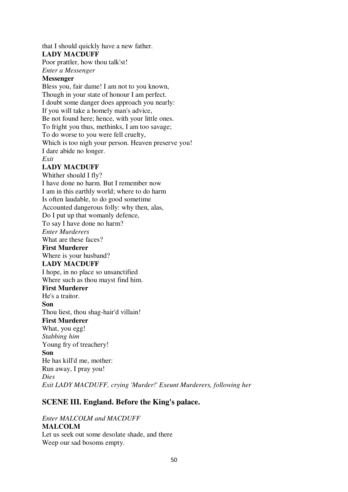that I should quickly have a new father. **LADY MACDUFF**

Poor prattler, how thou talk'st!

*Enter a Messenger*

# **Messenger**

Bless you, fair dame! I am not to you known, Though in your state of honour I am perfect. I doubt some danger does approach you nearly: If you will take a homely man's advice, Be not found here; hence, with your little ones. To fright you thus, methinks, I am too savage; To do worse to you were fell cruelty, Which is too nigh your person. Heaven preserve you! I dare abide no longer. *Exit*

# **LADY MACDUFF**

Whither should I fly? I have done no harm. But I remember now I am in this earthly world; where to do harm Is often laudable, to do good sometime Accounted dangerous folly: why then, alas, Do I put up that womanly defence, To say I have done no harm? *Enter Murderers* What are these faces? **First Murderer** Where is your husband? **LADY MACDUFF** I hope, in no place so unsanctified Where such as thou mayst find him. **First Murderer** He's a traitor. **Son** Thou liest, thou shag-hair'd villain! **First Murderer** What, you egg! *Stabbing him* Young fry of treachery! **Son** He has kill'd me, mother: Run away, I pray you! *Dies Exit LADY MACDUFF, crying 'Murder!' Exeunt Murderers, following her*

# **SCENE III. England. Before the King's palace.**

# *Enter MALCOLM and MACDUFF* **MALCOLM** Let us seek out some desolate shade, and there Weep our sad bosoms empty.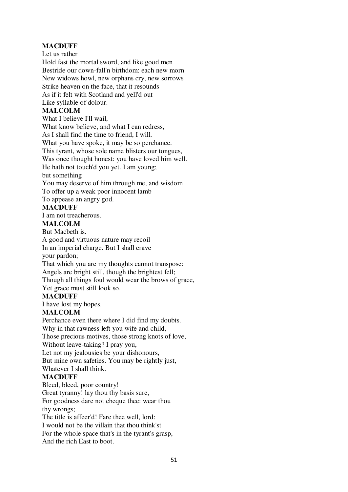# **MACDUFF**

Let us rather Hold fast the mortal sword, and like good men Bestride our down-fall'n birthdom: each new morn New widows howl, new orphans cry, new sorrows Strike heaven on the face, that it resounds As if it felt with Scotland and yell'd out Like syllable of dolour. **MALCOLM** What I believe I'll wail, What know believe, and what I can redress, As I shall find the time to friend, I will. What you have spoke, it may be so perchance. This tyrant, whose sole name blisters our tongues, Was once thought honest: you have loved him well. He hath not touch'd you yet. I am young; but something You may deserve of him through me, and wisdom

To offer up a weak poor innocent lamb

To appease an angry god.

# **MACDUFF**

I am not treacherous.

# **MALCOLM**

But Macbeth is.

A good and virtuous nature may recoil

In an imperial charge. But I shall crave

your pardon;

That which you are my thoughts cannot transpose:

Angels are bright still, though the brightest fell;

Though all things foul would wear the brows of grace,

Yet grace must still look so.

#### **MACDUFF**

I have lost my hopes.

# **MALCOLM**

Perchance even there where I did find my doubts. Why in that rawness left you wife and child, Those precious motives, those strong knots of love, Without leave-taking? I pray you, Let not my jealousies be your dishonours, But mine own safeties. You may be rightly just, Whatever I shall think.

# **MACDUFF**

Bleed, bleed, poor country! Great tyranny! lay thou thy basis sure, For goodness dare not cheque thee: wear thou thy wrongs; The title is affeer'd! Fare thee well, lord: I would not be the villain that thou think'st For the whole space that's in the tyrant's grasp, And the rich East to boot.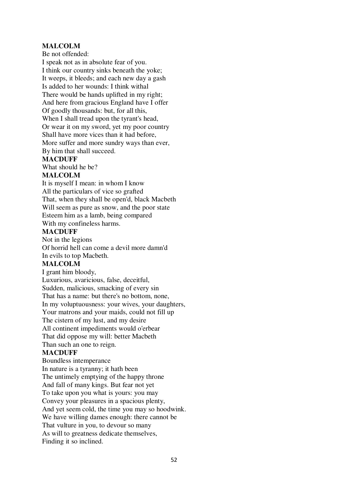# **MALCOLM**

Be not offended:

I speak not as in absolute fear of you. I think our country sinks beneath the yoke; It weeps, it bleeds; and each new day a gash Is added to her wounds: I think withal There would be hands uplifted in my right; And here from gracious England have I offer Of goodly thousands: but, for all this, When I shall tread upon the tyrant's head, Or wear it on my sword, yet my poor country Shall have more vices than it had before, More suffer and more sundry ways than ever, By him that shall succeed.

#### **MACDUFF**

What should he be?

# **MALCOLM**

It is myself I mean: in whom I know All the particulars of vice so grafted That, when they shall be open'd, black Macbeth Will seem as pure as snow, and the poor state Esteem him as a lamb, being compared With my confineless harms.

# **MACDUFF**

Not in the legions Of horrid hell can come a devil more damn'd In evils to top Macbeth.

# **MALCOLM**

I grant him bloody, Luxurious, avaricious, false, deceitful, Sudden, malicious, smacking of every sin That has a name: but there's no bottom, none, In my voluptuousness: your wives, your daughters, Your matrons and your maids, could not fill up The cistern of my lust, and my desire All continent impediments would o'erbear That did oppose my will: better Macbeth Than such an one to reign.

# **MACDUFF**

Boundless intemperance In nature is a tyranny; it hath been The untimely emptying of the happy throne And fall of many kings. But fear not yet To take upon you what is yours: you may Convey your pleasures in a spacious plenty, And yet seem cold, the time you may so hoodwink. We have willing dames enough: there cannot be That vulture in you, to devour so many As will to greatness dedicate themselves, Finding it so inclined.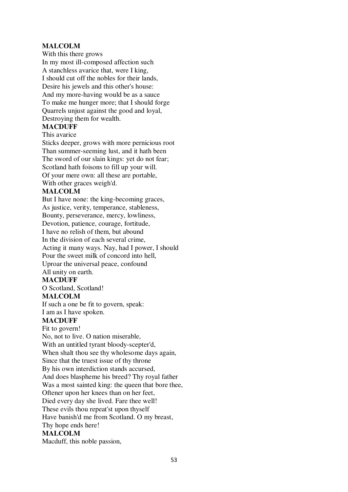# **MALCOLM**

With this there grows

In my most ill-composed affection such A stanchless avarice that, were I king, I should cut off the nobles for their lands, Desire his jewels and this other's house: And my more-having would be as a sauce To make me hunger more; that I should forge Quarrels unjust against the good and loyal, Destroying them for wealth.

# **MACDUFF**

This avarice

Sticks deeper, grows with more pernicious root Than summer-seeming lust, and it hath been The sword of our slain kings: yet do not fear; Scotland hath foisons to fill up your will. Of your mere own: all these are portable, With other graces weigh'd.

#### **MALCOLM**

But I have none: the king-becoming graces, As justice, verity, temperance, stableness, Bounty, perseverance, mercy, lowliness, Devotion, patience, courage, fortitude, I have no relish of them, but abound In the division of each several crime, Acting it many ways. Nay, had I power, I should Pour the sweet milk of concord into hell, Uproar the universal peace, confound All unity on earth.

#### **MACDUFF**

O Scotland, Scotland!

#### **MALCOLM**

If such a one be fit to govern, speak:

I am as I have spoken.

# **MACDUFF**

Fit to govern!

No, not to live. O nation miserable, With an untitled tyrant bloody-scepter'd, When shalt thou see thy wholesome days again, Since that the truest issue of thy throne By his own interdiction stands accursed, And does blaspheme his breed? Thy royal father Was a most sainted king: the queen that bore thee, Oftener upon her knees than on her feet, Died every day she lived. Fare thee well! These evils thou repeat'st upon thyself Have banish'd me from Scotland. O my breast, Thy hope ends here! **MALCOLM**

Macduff, this noble passion,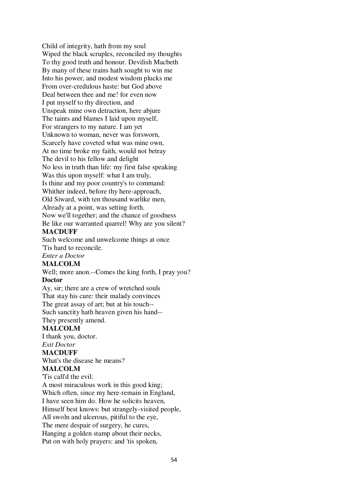Child of integrity, hath from my soul Wiped the black scruples, reconciled my thoughts To thy good truth and honour. Devilish Macbeth By many of these trains hath sought to win me Into his power, and modest wisdom plucks me From over-credulous haste: but God above Deal between thee and me! for even now I put myself to thy direction, and Unspeak mine own detraction, here abjure The taints and blames I laid upon myself, For strangers to my nature. I am yet Unknown to woman, never was forsworn, Scarcely have coveted what was mine own, At no time broke my faith, would not betray The devil to his fellow and delight No less in truth than life: my first false speaking Was this upon myself: what I am truly, Is thine and my poor country's to command: Whither indeed, before thy here-approach, Old Siward, with ten thousand warlike men, Already at a point, was setting forth. Now we'll together; and the chance of goodness Be like our warranted quarrel! Why are you silent? **MACDUFF**

Such welcome and unwelcome things at once 'Tis hard to reconcile.

# *Enter a Doctor*

**MALCOLM**

Well; more anon.--Comes the king forth, I pray you? **Doctor**

Ay, sir; there are a crew of wretched souls That stay his cure: their malady convinces The great assay of art; but at his touch-- Such sanctity hath heaven given his hand--

# They presently amend.

# **MALCOLM**

I thank you, doctor.

#### *Exit Doctor* **MACDUFF**

What's the disease he means?

# **MALCOLM**

'Tis call'd the evil: A most miraculous work in this good king; Which often, since my here-remain in England, I have seen him do. How he solicits heaven, Himself best knows: but strangely-visited people, All swoln and ulcerous, pitiful to the eye, The mere despair of surgery, he cures, Hanging a golden stamp about their necks, Put on with holy prayers: and 'tis spoken,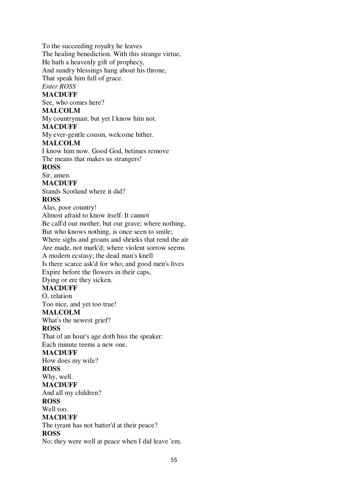To the succeeding royalty he leaves The healing benediction. With this strange virtue, He hath a heavenly gift of prophecy, And sundry blessings hang about his throne, That speak him full of grace. *Enter ROSS* **MACDUFF** See, who comes here? **MALCOLM** My countryman; but yet I know him not. **MACDUFF** My ever-gentle cousin, welcome hither. **MALCOLM** I know him now. Good God, betimes remove The means that makes us strangers! **ROSS** Sir, amen. **MACDUFF** Stands Scotland where it did? **ROSS** Alas, poor country! Almost afraid to know itself. It cannot Be call'd our mother, but our grave; where nothing, But who knows nothing, is once seen to smile; Where sighs and groans and shrieks that rend the air Are made, not mark'd; where violent sorrow seems A modern ecstasy; the dead man's knell Is there scarce ask'd for who; and good men's lives Expire before the flowers in their caps, Dying or ere they sicken. **MACDUFF** O, relation Too nice, and yet too true! **MALCOLM** What's the newest grief? **ROSS** That of an hour's age doth hiss the speaker: Each minute teems a new one. **MACDUFF** How does my wife? **ROSS** Why, well. **MACDUFF** And all my children? **ROSS** Well too. **MACDUFF** The tyrant has not batter'd at their peace? **ROSS** No; they were well at peace when I did leave 'em.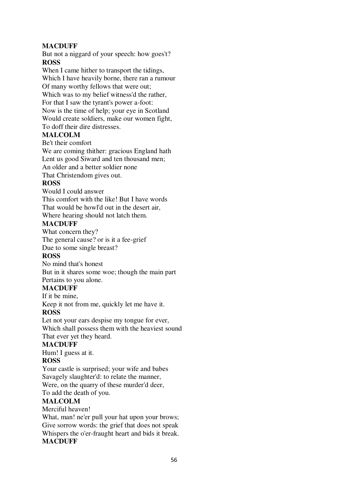# **MACDUFF**

But not a niggard of your speech: how goes't? **ROSS**

When I came hither to transport the tidings, Which I have heavily borne, there ran a rumour Of many worthy fellows that were out; Which was to my belief witness'd the rather, For that I saw the tyrant's power a-foot: Now is the time of help; your eye in Scotland Would create soldiers, make our women fight, To doff their dire distresses.

# **MALCOLM**

Be't their comfort

We are coming thither: gracious England hath Lent us good Siward and ten thousand men; An older and a better soldier none

That Christendom gives out.

# **ROSS**

Would I could answer

This comfort with the like! But I have words

That would be howl'd out in the desert air,

Where hearing should not latch them.

# **MACDUFF**

What concern they?

The general cause? or is it a fee-grief

Due to some single breast?

# **ROSS**

No mind that's honest

But in it shares some woe; though the main part Pertains to you alone.

# **MACDUFF**

If it be mine,

Keep it not from me, quickly let me have it.

# **ROSS**

Let not your ears despise my tongue for ever, Which shall possess them with the heaviest sound That ever yet they heard.

# **MACDUFF**

Hum! I guess at it.

# **ROSS**

Your castle is surprised; your wife and babes Savagely slaughter'd: to relate the manner, Were, on the quarry of these murder'd deer,

To add the death of you.

# **MALCOLM**

Merciful heaven!

What, man! ne'er pull your hat upon your brows; Give sorrow words: the grief that does not speak Whispers the o'er-fraught heart and bids it break. **MACDUFF**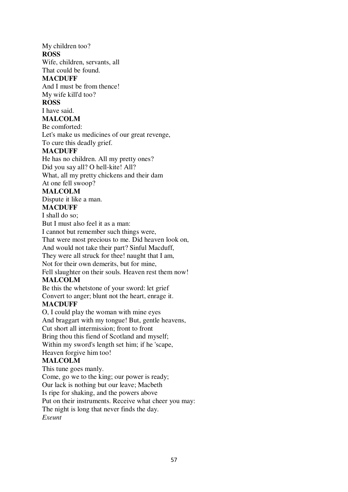# My children too?

# **ROSS**

Wife, children, servants, all

That could be found.

# **MACDUFF**

And I must be from thence! My wife kill'd too?

# **ROSS**

# I have said.

# **MALCOLM**

Be comforted:

Let's make us medicines of our great revenge,

To cure this deadly grief.

# **MACDUFF**

He has no children. All my pretty ones? Did you say all? O hell-kite! All?

What, all my pretty chickens and their dam

At one fell swoop?

# **MALCOLM**

Dispute it like a man.

# **MACDUFF**

I shall do so;

But I must also feel it as a man: I cannot but remember such things were, That were most precious to me. Did heaven look on, And would not take their part? Sinful Macduff, They were all struck for thee! naught that I am, Not for their own demerits, but for mine, Fell slaughter on their souls. Heaven rest them now!

# **MALCOLM**

Be this the whetstone of your sword: let grief Convert to anger; blunt not the heart, enrage it.

# **MACDUFF**

O, I could play the woman with mine eyes And braggart with my tongue! But, gentle heavens, Cut short all intermission; front to front Bring thou this fiend of Scotland and myself; Within my sword's length set him; if he 'scape, Heaven forgive him too!

# **MALCOLM**

This tune goes manly. Come, go we to the king; our power is ready; Our lack is nothing but our leave; Macbeth Is ripe for shaking, and the powers above Put on their instruments. Receive what cheer you may: The night is long that never finds the day. *Exeunt*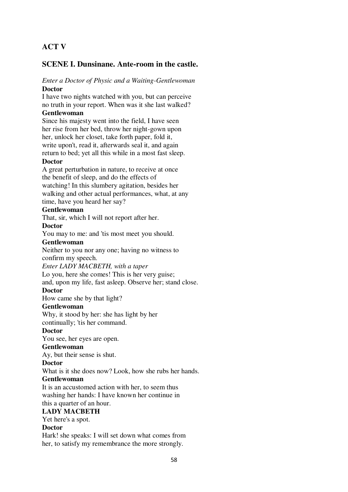# **ACT V**

# **SCENE I. Dunsinane. Ante-room in the castle.**

#### *Enter a Doctor of Physic and a Waiting-Gentlewoman* **Doctor**

I have two nights watched with you, but can perceive no truth in your report. When was it she last walked? **Gentlewoman**

Since his majesty went into the field, I have seen her rise from her bed, throw her night-gown upon her, unlock her closet, take forth paper, fold it, write upon't, read it, afterwards seal it, and again return to bed; yet all this while in a most fast sleep.

# **Doctor**

A great perturbation in nature, to receive at once the benefit of sleep, and do the effects of watching! In this slumbery agitation, besides her walking and other actual performances, what, at any time, have you heard her say?

# **Gentlewoman**

That, sir, which I will not report after her.

#### **Doctor**

You may to me: and 'tis most meet you should.

# **Gentlewoman**

Neither to you nor any one; having no witness to confirm my speech.

#### *Enter LADY MACBETH, with a taper*

Lo you, here she comes! This is her very guise; and, upon my life, fast asleep. Observe her; stand close.

# **Doctor**

How came she by that light?

# **Gentlewoman**

Why, it stood by her: she has light by her continually; 'tis her command.

# **Doctor**

You see, her eyes are open.

# **Gentlewoman**

Ay, but their sense is shut.

# **Doctor**

What is it she does now? Look, how she rubs her hands.

# **Gentlewoman**

It is an accustomed action with her, to seem thus washing her hands: I have known her continue in this a quarter of an hour.

# **LADY MACBETH**

Yet here's a spot.

# **Doctor**

Hark! she speaks: I will set down what comes from her, to satisfy my remembrance the more strongly.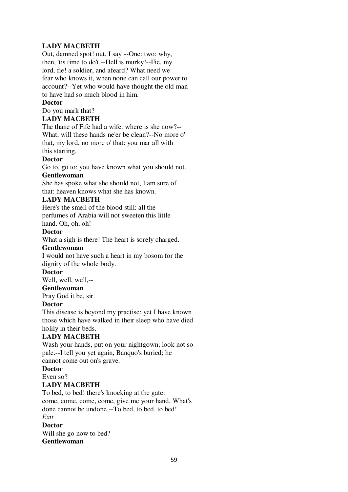# **LADY MACBETH**

Out, damned spot! out, I say!--One: two: why, then, 'tis time to do't.--Hell is murky!--Fie, my lord, fie! a soldier, and afeard? What need we fear who knows it, when none can call our power to account?--Yet who would have thought the old man to have had so much blood in him.

# **Doctor**

Do you mark that?

# **LADY MACBETH**

The thane of Fife had a wife: where is she now?-- What, will these hands ne'er be clean?--No more o' that, my lord, no more o' that: you mar all with this starting.

# **Doctor**

Go to, go to; you have known what you should not.

# **Gentlewoman**

She has spoke what she should not, I am sure of that: heaven knows what she has known.

# **LADY MACBETH**

Here's the smell of the blood still: all the perfumes of Arabia will not sweeten this little hand. Oh, oh, oh!

# **Doctor**

What a sigh is there! The heart is sorely charged.

# **Gentlewoman**

I would not have such a heart in my bosom for the dignity of the whole body.

# **Doctor**

Well, well, well,--

# **Gentlewoman**

Pray God it be, sir.

# **Doctor**

This disease is beyond my practise: yet I have known those which have walked in their sleep who have died holily in their beds.

# **LADY MACBETH**

Wash your hands, put on your nightgown; look not so pale.--I tell you yet again, Banquo's buried; he cannot come out on's grave.

# **Doctor**

# Even so?

# **LADY MACBETH**

To bed, to bed! there's knocking at the gate: come, come, come, come, give me your hand. What's done cannot be undone.--To bed, to bed, to bed! *Exit*

# **Doctor**

Will she go now to bed? **Gentlewoman**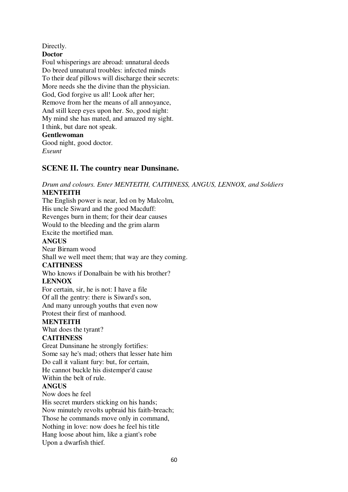Directly.

**Doctor**

Foul whisperings are abroad: unnatural deeds Do breed unnatural troubles: infected minds To their deaf pillows will discharge their secrets: More needs she the divine than the physician. God, God forgive us all! Look after her; Remove from her the means of all annoyance, And still keep eyes upon her. So, good night: My mind she has mated, and amazed my sight. I think, but dare not speak. **Gentlewoman** Good night, good doctor. *Exeunt*

# **SCENE II. The country near Dunsinane.**

*Drum and colours. Enter MENTEITH, CAITHNESS, ANGUS, LENNOX, and Soldiers* **MENTEITH**

The English power is near, led on by Malcolm, His uncle Siward and the good Macduff: Revenges burn in them; for their dear causes Would to the bleeding and the grim alarm Excite the mortified man. **ANGUS** Near Birnam wood Shall we well meet them; that way are they coming. **CAITHNESS** Who knows if Donalbain be with his brother? **LENNOX** For certain, sir, he is not: I have a file Of all the gentry: there is Siward's son, And many unrough youths that even now Protest their first of manhood. **MENTEITH** What does the tyrant? **CAITHNESS** Great Dunsinane he strongly fortifies: Some say he's mad; others that lesser hate him Do call it valiant fury: but, for certain, He cannot buckle his distemper'd cause Within the belt of rule. **ANGUS** Now does he feel His secret murders sticking on his hands; Now minutely revolts upbraid his faith-breach; Those he commands move only in command, Nothing in love: now does he feel his title Hang loose about him, like a giant's robe

Upon a dwarfish thief.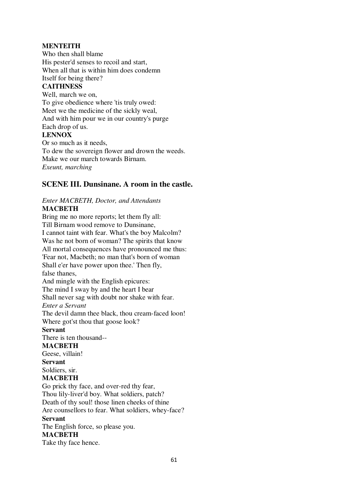# **MENTEITH**

Who then shall blame His pester'd senses to recoil and start, When all that is within him does condemn Itself for being there?

# **CAITHNESS**

Well, march we on, To give obedience where 'tis truly owed: Meet we the medicine of the sickly weal, And with him pour we in our country's purge Each drop of us. **LENNOX** Or so much as it needs, To dew the sovereign flower and drown the weeds. Make we our march towards Birnam.

*Exeunt, marching*

# **SCENE III. Dunsinane. A room in the castle.**

#### *Enter MACBETH, Doctor, and Attendants* **MACBETH**

Bring me no more reports; let them fly all: Till Birnam wood remove to Dunsinane, I cannot taint with fear. What's the boy Malcolm? Was he not born of woman? The spirits that know All mortal consequences have pronounced me thus: 'Fear not, Macbeth; no man that's born of woman Shall e'er have power upon thee.' Then fly, false thanes, And mingle with the English epicures: The mind I sway by and the heart I bear Shall never sag with doubt nor shake with fear. *Enter a Servant* The devil damn thee black, thou cream-faced loon! Where got'st thou that goose look? **Servant** There is ten thousand-- **MACBETH** Geese, villain! **Servant** Soldiers, sir. **MACBETH** Go prick thy face, and over-red thy fear, Thou lily-liver'd boy. What soldiers, patch? Death of thy soul! those linen cheeks of thine Are counsellors to fear. What soldiers, whey-face? **Servant** The English force, so please you.

#### **MACBETH**

Take thy face hence.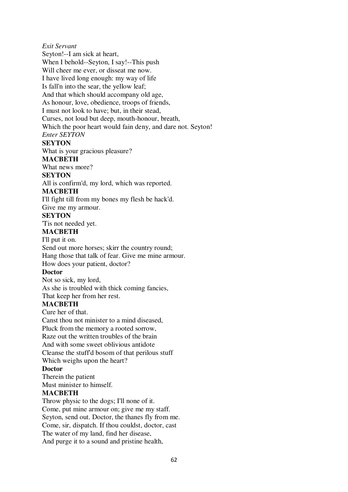*Exit Servant*

Seyton!--I am sick at heart,

When I behold--Seyton, I say!--This push

Will cheer me ever, or disseat me now.

I have lived long enough: my way of life

Is fall'n into the sear, the yellow leaf;

And that which should accompany old age,

As honour, love, obedience, troops of friends,

I must not look to have; but, in their stead,

Curses, not loud but deep, mouth-honour, breath,

Which the poor heart would fain deny, and dare not. Seyton!

*Enter SEYTON*

# **SEYTON**

What is your gracious pleasure?

# **MACBETH**

What news more?

# **SEYTON**

All is confirm'd, my lord, which was reported.

# **MACBETH**

I'll fight till from my bones my flesh be hack'd. Give me my armour.

# **SEYTON**

'Tis not needed yet.

# **MACBETH**

I'll put it on. Send out more horses; skirr the country round; Hang those that talk of fear. Give me mine armour. How does your patient, doctor?

# **Doctor**

Not so sick, my lord, As she is troubled with thick coming fancies, That keep her from her rest.

# **MACBETH**

Cure her of that.

Canst thou not minister to a mind diseased, Pluck from the memory a rooted sorrow, Raze out the written troubles of the brain And with some sweet oblivious antidote Cleanse the stuff'd bosom of that perilous stuff

Which weighs upon the heart?

# **Doctor**

Therein the patient

Must minister to himself.

# **MACBETH**

Throw physic to the dogs; I'll none of it. Come, put mine armour on; give me my staff. Seyton, send out. Doctor, the thanes fly from me. Come, sir, dispatch. If thou couldst, doctor, cast The water of my land, find her disease, And purge it to a sound and pristine health,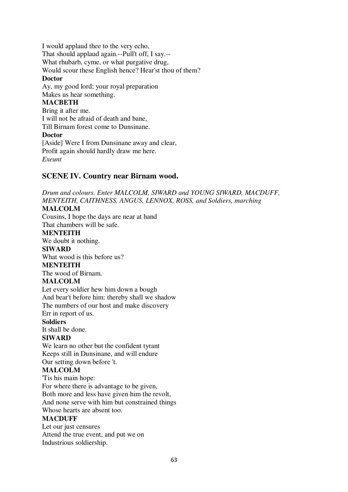I would applaud thee to the very echo, That should applaud again.--Pull't off, I say.-- What rhubarb, cyme, or what purgative drug, Would scour these English hence? Hear'st thou of them? **Doctor** Ay, my good lord; your royal preparation Makes us hear something. **MACBETH** Bring it after me. I will not be afraid of death and bane, Till Birnam forest come to Dunsinane. **Doctor** [Aside] Were I from Dunsinane away and clear, Profit again should hardly draw me here. *Exeunt*

# **SCENE IV. Country near Birnam wood.**

*Drum and colours. Enter MALCOLM, SIWARD and YOUNG SIWARD, MACDUFF, MENTEITH, CAITHNESS, ANGUS, LENNOX, ROSS, and Soldiers, marching*

# **MALCOLM**

Cousins, I hope the days are near at hand That chambers will be safe.

# **MENTEITH**

We doubt it nothing.

#### **SIWARD**

What wood is this before us?

# **MENTEITH**

The wood of Birnam.

# **MALCOLM**

Let every soldier hew him down a bough And bear't before him: thereby shall we shadow The numbers of our host and make discovery Err in report of us.

#### **Soldiers**

It shall be done.

# **SIWARD**

We learn no other but the confident tyrant Keeps still in Dunsinane, and will endure Our setting down before 't.

#### **MALCOLM**

'Tis his main hope: For where there is advantage to be given, Both more and less have given him the revolt, And none serve with him but constrained things

Whose hearts are absent too.

#### **MACDUFF**

Let our just censures Attend the true event, and put we on Industrious soldiership.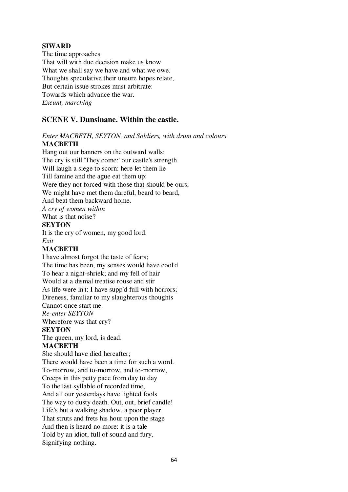# **SIWARD**

The time approaches That will with due decision make us know What we shall say we have and what we owe. Thoughts speculative their unsure hopes relate, But certain issue strokes must arbitrate: Towards which advance the war. *Exeunt, marching*

# **SCENE V. Dunsinane. Within the castle.**

# *Enter MACBETH, SEYTON, and Soldiers, with drum and colours* **MACBETH**

Hang out our banners on the outward walls; The cry is still 'They come:' our castle's strength Will laugh a siege to scorn: here let them lie Till famine and the ague eat them up: Were they not forced with those that should be ours, We might have met them dareful, beard to beard, And beat them backward home. *A cry of women within* What is that noise?

**SEYTON**

It is the cry of women, my good lord. *Exit*

# **MACBETH**

I have almost forgot the taste of fears; The time has been, my senses would have cool'd To hear a night-shriek; and my fell of hair Would at a dismal treatise rouse and stir As life were in't: I have supp'd full with horrors; Direness, familiar to my slaughterous thoughts Cannot once start me. *Re-enter SEYTON* Wherefore was that cry? **SEYTON** The queen, my lord, is dead. **MACBETH** She should have died hereafter; There would have been a time for such a word. To-morrow, and to-morrow, and to-morrow, Creeps in this petty pace from day to day To the last syllable of recorded time, And all our yesterdays have lighted fools The way to dusty death. Out, out, brief candle! Life's but a walking shadow, a poor player That struts and frets his hour upon the stage And then is heard no more: it is a tale Told by an idiot, full of sound and fury, Signifying nothing.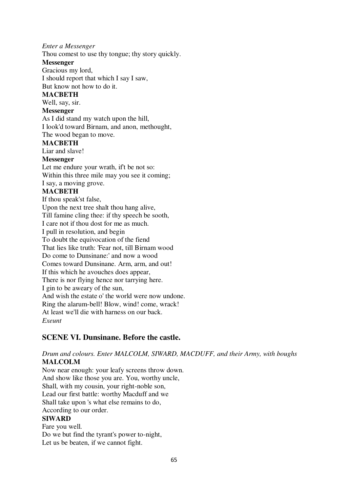# *Enter a Messenger*

Thou comest to use thy tongue; thy story quickly.

#### **Messenger**

Gracious my lord,

I should report that which I say I saw, But know not how to do it.

# **MACBETH**

Well, say, sir.

# **Messenger**

As I did stand my watch upon the hill, I look'd toward Birnam, and anon, methought, The wood began to move.

# **MACBETH**

Liar and slave!

# **Messenger**

Let me endure your wrath, if't be not so: Within this three mile may you see it coming; I say, a moving grove. **MACBETH** If thou speak'st false, Upon the next tree shalt thou hang alive, Till famine cling thee: if thy speech be sooth, I care not if thou dost for me as much. I pull in resolution, and begin To doubt the equivocation of the fiend That lies like truth: 'Fear not, till Birnam wood Do come to Dunsinane:' and now a wood Comes toward Dunsinane. Arm, arm, and out! If this which he avouches does appear, There is nor flying hence nor tarrying here. I gin to be aweary of the sun, And wish the estate o' the world were now undone. Ring the alarum-bell! Blow, wind! come, wrack! At least we'll die with harness on our back. *Exeunt*

# **SCENE VI. Dunsinane. Before the castle.**

# *Drum and colours. Enter MALCOLM, SIWARD, MACDUFF, and their Army, with boughs* **MALCOLM**

Now near enough: your leafy screens throw down. And show like those you are. You, worthy uncle, Shall, with my cousin, your right-noble son, Lead our first battle: worthy Macduff and we Shall take upon 's what else remains to do, According to our order.

# **SIWARD**

Fare you well. Do we but find the tyrant's power to-night, Let us be beaten, if we cannot fight.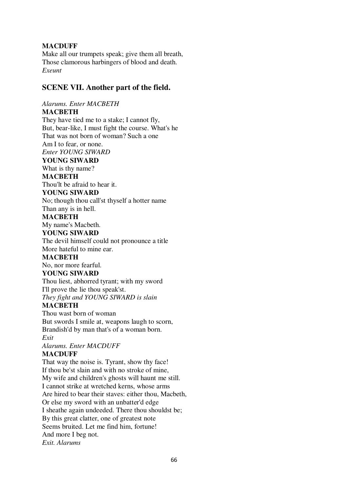# **MACDUFF**

Make all our trumpets speak; give them all breath, Those clamorous harbingers of blood and death. *Exeunt*

# **SCENE VII. Another part of the field.**

*Alarums. Enter MACBETH* **MACBETH** They have tied me to a stake; I cannot fly, But, bear-like, I must fight the course. What's he That was not born of woman? Such a one Am I to fear, or none. *Enter YOUNG SIWARD* **YOUNG SIWARD** What is thy name? **MACBETH** Thou'lt be afraid to hear it. **YOUNG SIWARD** No; though thou call'st thyself a hotter name Than any is in hell. **MACBETH** My name's Macbeth. **YOUNG SIWARD** The devil himself could not pronounce a title More hateful to mine ear. **MACBETH** No, nor more fearful. **YOUNG SIWARD** Thou liest, abhorred tyrant; with my sword I'll prove the lie thou speak'st. *They fight and YOUNG SIWARD is slain* **MACBETH** Thou wast born of woman But swords I smile at, weapons laugh to scorn, Brandish'd by man that's of a woman born. *Exit Alarums. Enter MACDUFF* **MACDUFF** That way the noise is. Tyrant, show thy face!

If thou be'st slain and with no stroke of mine, My wife and children's ghosts will haunt me still. I cannot strike at wretched kerns, whose arms Are hired to bear their staves: either thou, Macbeth, Or else my sword with an unbatter'd edge I sheathe again undeeded. There thou shouldst be; By this great clatter, one of greatest note Seems bruited. Let me find him, fortune! And more I beg not. *Exit. Alarums*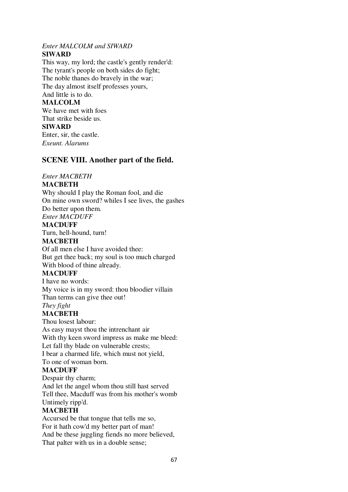# *Enter MALCOLM and SIWARD*

# **SIWARD**

This way, my lord; the castle's gently render'd: The tyrant's people on both sides do fight; The noble thanes do bravely in the war; The day almost itself professes yours, And little is to do. **MALCOLM** We have met with foes

That strike beside us.

# **SIWARD**

Enter, sir, the castle. *Exeunt. Alarums*

# **SCENE VIII. Another part of the field.**

# *Enter MACBETH*

# **MACBETH**

Why should I play the Roman fool, and die On mine own sword? whiles I see lives, the gashes Do better upon them.

*Enter MACDUFF*

# **MACDUFF**

Turn, hell-hound, turn!

# **MACBETH**

Of all men else I have avoided thee: But get thee back; my soul is too much charged With blood of thine already.

# **MACDUFF**

I have no words: My voice is in my sword: thou bloodier villain Than terms can give thee out!

*They fight*

# **MACBETH**

Thou losest labour: As easy mayst thou the intrenchant air With thy keen sword impress as make me bleed: Let fall thy blade on vulnerable crests; I bear a charmed life, which must not yield, To one of woman born.

# **MACDUFF**

Despair thy charm; And let the angel whom thou still hast served Tell thee, Macduff was from his mother's womb Untimely ripp'd.

# **MACBETH**

Accursed be that tongue that tells me so, For it hath cow'd my better part of man! And be these juggling fiends no more believed, That palter with us in a double sense;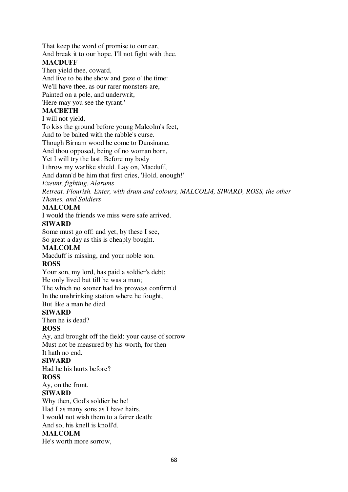That keep the word of promise to our ear, And break it to our hope. I'll not fight with thee. **MACDUFF**

# Then yield thee, coward,

And live to be the show and gaze o' the time:

We'll have thee, as our rarer monsters are,

Painted on a pole, and underwrit,

'Here may you see the tyrant.'

# **MACBETH**

# I will not yield,

To kiss the ground before young Malcolm's feet,

And to be baited with the rabble's curse.

Though Birnam wood be come to Dunsinane,

And thou opposed, being of no woman born,

Yet I will try the last. Before my body

I throw my warlike shield. Lay on, Macduff,

And damn'd be him that first cries, 'Hold, enough!'

*Exeunt, fighting. Alarums*

*Retreat. Flourish. Enter, with drum and colours, MALCOLM, SIWARD, ROSS, the other Thanes, and Soldiers*

# **MALCOLM**

I would the friends we miss were safe arrived.

# **SIWARD**

Some must go off: and yet, by these I see,

So great a day as this is cheaply bought.

# **MALCOLM**

Macduff is missing, and your noble son.

# **ROSS**

Your son, my lord, has paid a soldier's debt:

He only lived but till he was a man;

The which no sooner had his prowess confirm'd

In the unshrinking station where he fought,

But like a man he died.

# **SIWARD**

Then he is dead?

# **ROSS**

Ay, and brought off the field: your cause of sorrow Must not be measured by his worth, for then It hath no end.

# **SIWARD**

Had he his hurts before?

# **ROSS**

Ay, on the front.

# **SIWARD**

Why then, God's soldier be he! Had I as many sons as I have hairs, I would not wish them to a fairer death: And so, his knell is knoll'd.

# **MALCOLM**

He's worth more sorrow,